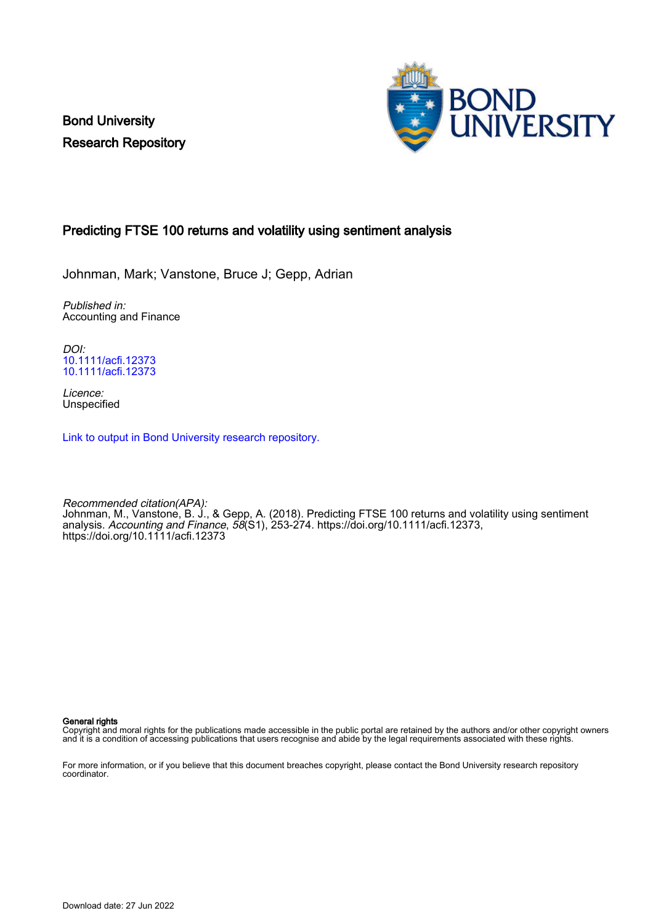Bond University Research Repository



# Predicting FTSE 100 returns and volatility using sentiment analysis

Johnman, Mark; Vanstone, Bruce J; Gepp, Adrian

Published in: Accounting and Finance

DOI: [10.1111/acfi.12373](https://doi.org/10.1111/ac�.12373) [10.1111/acfi.12373](https://doi.org/10.1111/acfi.12373)

Licence: Unspecified

[Link to output in Bond University research repository.](https://research.bond.edu.au/en/publications/69c1613d-9849-4957-bb69-e68a01cc92c3)

Recommended citation(APA): Johnman, M., Vanstone, B. J., & Gepp, A. (2018). Predicting FTSE 100 returns and volatility using sentiment analysis. Accounting and Finance, 58(S1), 253-274. [https://doi.org/10.1111/acfi.12373,](https://doi.org/10.1111/ac�.12373) <https://doi.org/10.1111/acfi.12373>

General rights

Copyright and moral rights for the publications made accessible in the public portal are retained by the authors and/or other copyright owners and it is a condition of accessing publications that users recognise and abide by the legal requirements associated with these rights.

For more information, or if you believe that this document breaches copyright, please contact the Bond University research repository coordinator.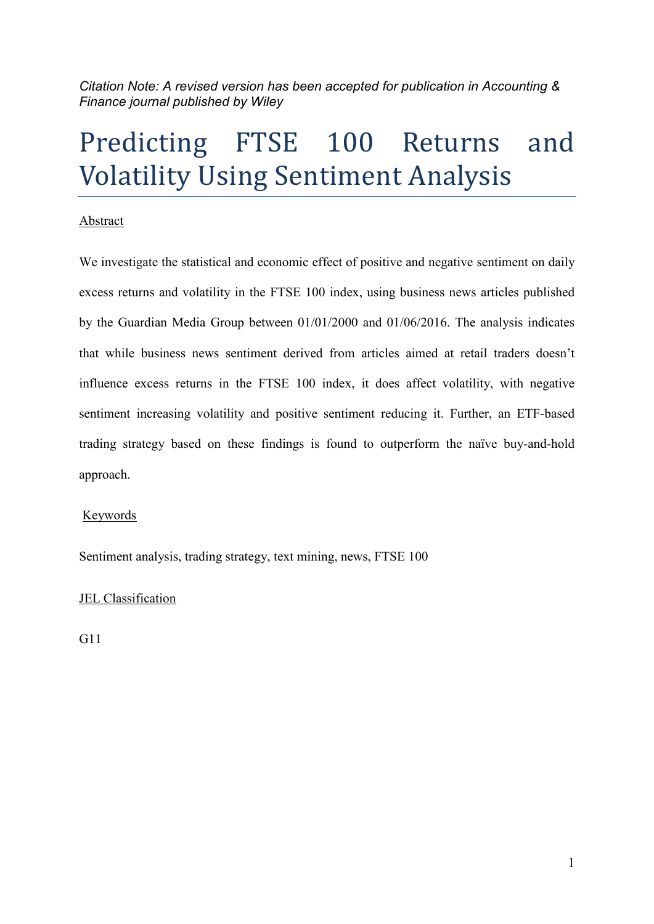*Citation Note: A revised version has been accepted for publication in Accounting & Finance journal published by Wiley* 

# Predicting FTSE 100 Returns and Volatility Using Sentiment Analysis

### Abstract

We investigate the statistical and economic effect of positive and negative sentiment on daily excess returns and volatility in the FTSE 100 index, using business news articles published by the Guardian Media Group between 01/01/2000 and 01/06/2016. The analysis indicates that while business news sentiment derived from articles aimed at retail traders doesn't influence excess returns in the FTSE 100 index, it does affect volatility, with negative sentiment increasing volatility and positive sentiment reducing it. Further, an ETF-based trading strategy based on these findings is found to outperform the naïve buy-and-hold approach.

### Keywords

Sentiment analysis, trading strategy, text mining, news, FTSE 100

# JEL Classification

G11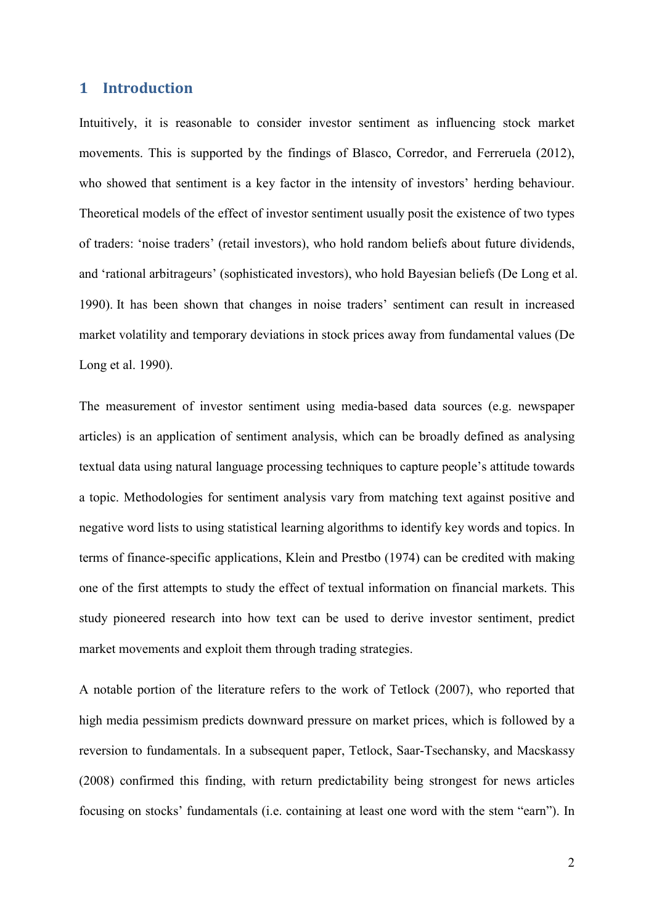### **1 Introduction**

Intuitively, it is reasonable to consider investor sentiment as influencing stock market movements. This is supported by the findings of Blasco, Corredor, and Ferreruela (2012), who showed that sentiment is a key factor in the intensity of investors' herding behaviour. Theoretical models of the effect of investor sentiment usually posit the existence of two types of traders: 'noise traders' (retail investors), who hold random beliefs about future dividends, and 'rational arbitrageurs' (sophisticated investors), who hold Bayesian beliefs (De Long et al. 1990). It has been shown that changes in noise traders' sentiment can result in increased market volatility and temporary deviations in stock prices away from fundamental values (De Long et al. 1990).

The measurement of investor sentiment using media-based data sources (e.g. newspaper articles) is an application of sentiment analysis, which can be broadly defined as analysing textual data using natural language processing techniques to capture people's attitude towards a topic. Methodologies for sentiment analysis vary from matching text against positive and negative word lists to using statistical learning algorithms to identify key words and topics. In terms of finance-specific applications, Klein and Prestbo (1974) can be credited with making one of the first attempts to study the effect of textual information on financial markets. This study pioneered research into how text can be used to derive investor sentiment, predict market movements and exploit them through trading strategies.

A notable portion of the literature refers to the work of Tetlock (2007), who reported that high media pessimism predicts downward pressure on market prices, which is followed by a reversion to fundamentals. In a subsequent paper, Tetlock, Saar-Tsechansky, and Macskassy (2008) confirmed this finding, with return predictability being strongest for news articles focusing on stocks' fundamentals (i.e. containing at least one word with the stem "earn"). In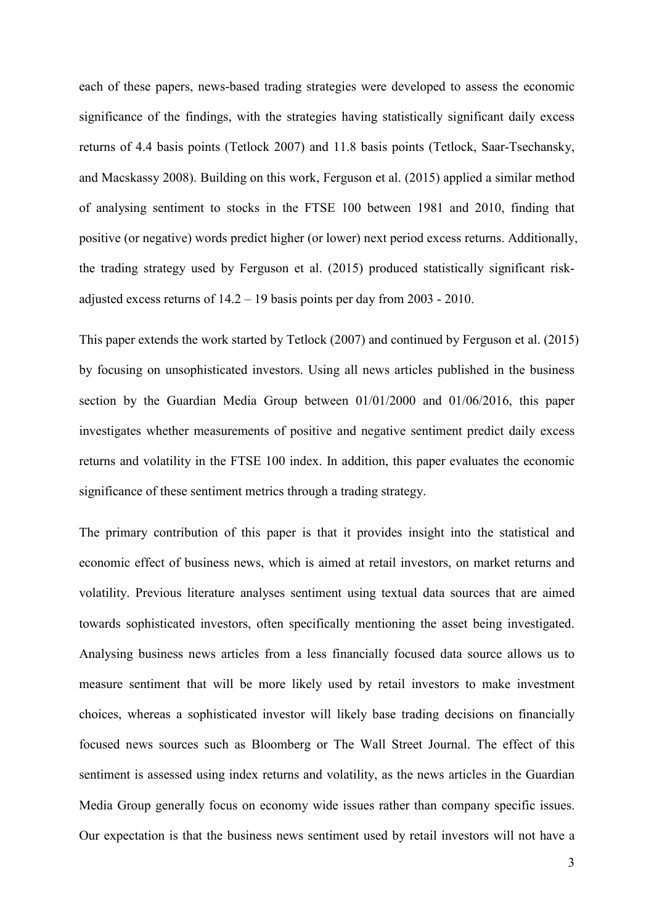each of these papers, news-based trading strategies were developed to assess the economic significance of the findings, with the strategies having statistically significant daily excess returns of 4.4 basis points (Tetlock 2007) and 11.8 basis points (Tetlock, Saar-Tsechansky, and Macskassy 2008). Building on this work, Ferguson et al. (2015) applied a similar method of analysing sentiment to stocks in the FTSE 100 between 1981 and 2010, finding that positive (or negative) words predict higher (or lower) next period excess returns. Additionally, the trading strategy used by Ferguson et al. (2015) produced statistically significant riskadjusted excess returns of  $14.2 - 19$  basis points per day from  $2003 - 2010$ .

This paper extends the work started by Tetlock (2007) and continued by Ferguson et al. (2015) by focusing on unsophisticated investors. Using all news articles published in the business section by the Guardian Media Group between 01/01/2000 and 01/06/2016, this paper investigates whether measurements of positive and negative sentiment predict daily excess returns and volatility in the FTSE 100 index. In addition, this paper evaluates the economic significance of these sentiment metrics through a trading strategy.

The primary contribution of this paper is that it provides insight into the statistical and economic effect of business news, which is aimed at retail investors, on market returns and volatility. Previous literature analyses sentiment using textual data sources that are aimed towards sophisticated investors, often specifically mentioning the asset being investigated. Analysing business news articles from a less financially focused data source allows us to measure sentiment that will be more likely used by retail investors to make investment choices, whereas a sophisticated investor will likely base trading decisions on financially focused news sources such as Bloomberg or The Wall Street Journal. The effect of this sentiment is assessed using index returns and volatility, as the news articles in the Guardian Media Group generally focus on economy wide issues rather than company specific issues. Our expectation is that the business news sentiment used by retail investors will not have a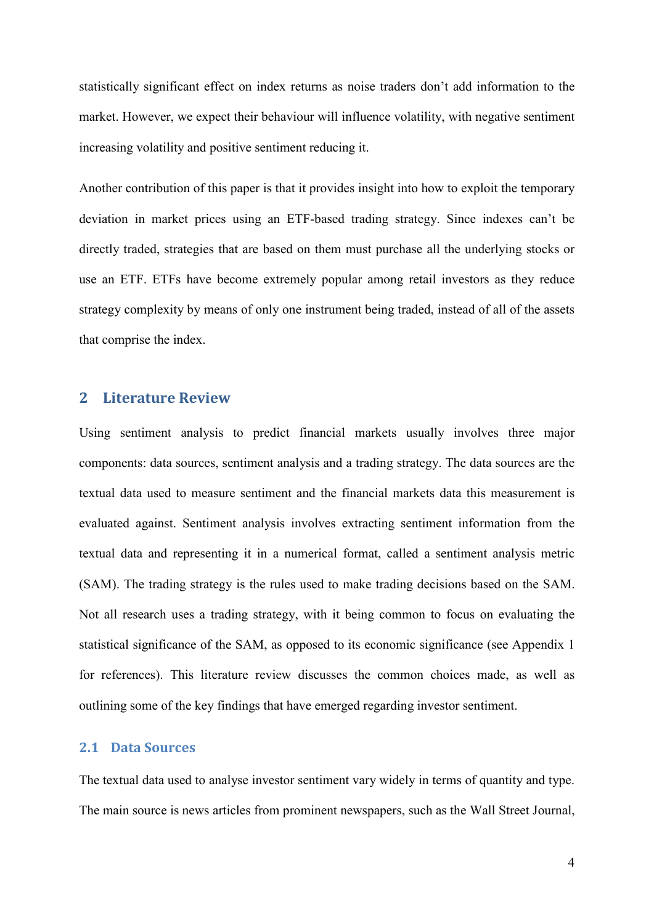statistically significant effect on index returns as noise traders don't add information to the market. However, we expect their behaviour will influence volatility, with negative sentiment increasing volatility and positive sentiment reducing it.

Another contribution of this paper is that it provides insight into how to exploit the temporary deviation in market prices using an ETF-based trading strategy. Since indexes can't be directly traded, strategies that are based on them must purchase all the underlying stocks or use an ETF. ETFs have become extremely popular among retail investors as they reduce strategy complexity by means of only one instrument being traded, instead of all of the assets that comprise the index.

### **2 Literature Review**

Using sentiment analysis to predict financial markets usually involves three major components: data sources, sentiment analysis and a trading strategy. The data sources are the textual data used to measure sentiment and the financial markets data this measurement is evaluated against. Sentiment analysis involves extracting sentiment information from the textual data and representing it in a numerical format, called a sentiment analysis metric (SAM). The trading strategy is the rules used to make trading decisions based on the SAM. Not all research uses a trading strategy, with it being common to focus on evaluating the statistical significance of the SAM, as opposed to its economic significance (see Appendix 1 for references). This literature review discusses the common choices made, as well as outlining some of the key findings that have emerged regarding investor sentiment.

### **2.1 Data Sources**

The textual data used to analyse investor sentiment vary widely in terms of quantity and type. The main source is news articles from prominent newspapers, such as the Wall Street Journal,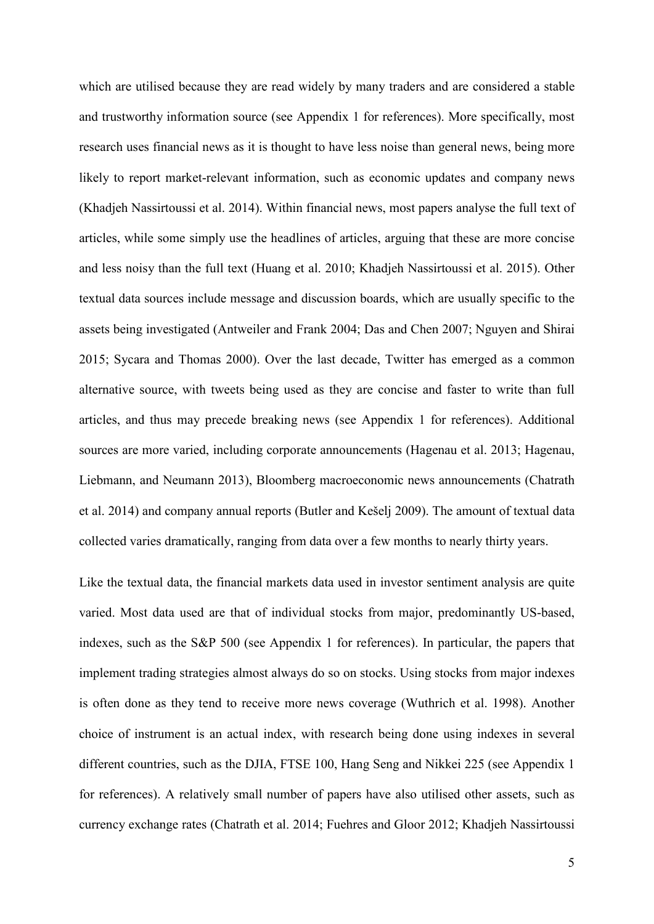which are utilised because they are read widely by many traders and are considered a stable and trustworthy information source (see Appendix 1 for references). More specifically, most research uses financial news as it is thought to have less noise than general news, being more likely to report market-relevant information, such as economic updates and company news (Khadjeh Nassirtoussi et al. 2014). Within financial news, most papers analyse the full text of articles, while some simply use the headlines of articles, arguing that these are more concise and less noisy than the full text (Huang et al. 2010; Khadjeh Nassirtoussi et al. 2015). Other textual data sources include message and discussion boards, which are usually specific to the assets being investigated (Antweiler and Frank 2004; Das and Chen 2007; Nguyen and Shirai 2015; Sycara and Thomas 2000). Over the last decade, Twitter has emerged as a common alternative source, with tweets being used as they are concise and faster to write than full articles, and thus may precede breaking news (see Appendix 1 for references). Additional sources are more varied, including corporate announcements (Hagenau et al. 2013; Hagenau, Liebmann, and Neumann 2013), Bloomberg macroeconomic news announcements (Chatrath et al. 2014) and company annual reports (Butler and Kešelj 2009). The amount of textual data collected varies dramatically, ranging from data over a few months to nearly thirty years.

Like the textual data, the financial markets data used in investor sentiment analysis are quite varied. Most data used are that of individual stocks from major, predominantly US-based, indexes, such as the S&P 500 (see Appendix 1 for references). In particular, the papers that implement trading strategies almost always do so on stocks. Using stocks from major indexes is often done as they tend to receive more news coverage (Wuthrich et al. 1998). Another choice of instrument is an actual index, with research being done using indexes in several different countries, such as the DJIA, FTSE 100, Hang Seng and Nikkei 225 (see Appendix 1 for references). A relatively small number of papers have also utilised other assets, such as currency exchange rates (Chatrath et al. 2014; Fuehres and Gloor 2012; Khadjeh Nassirtoussi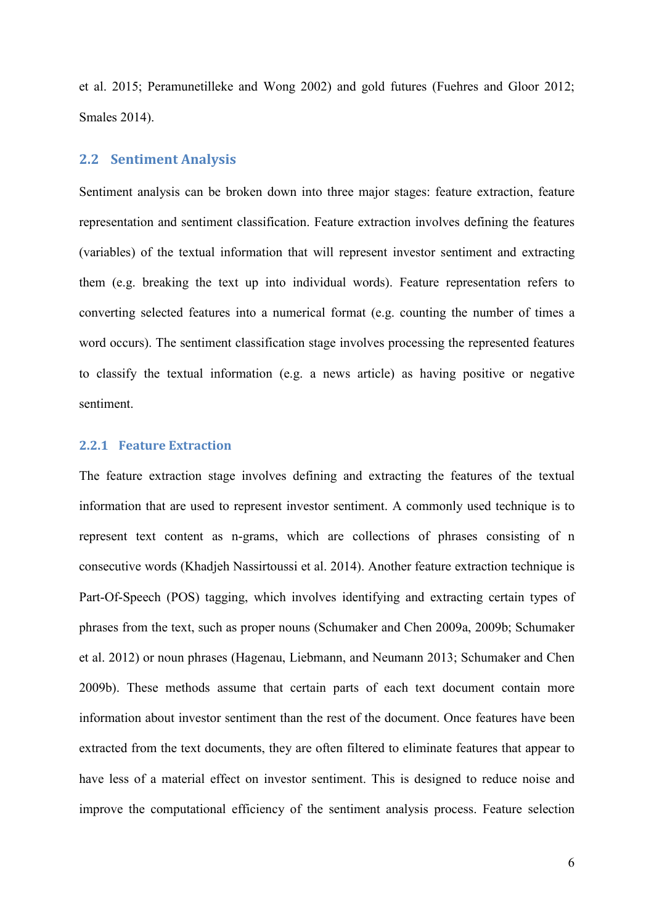et al. 2015; Peramunetilleke and Wong 2002) and gold futures (Fuehres and Gloor 2012; Smales 2014).

### **2.2 Sentiment Analysis**

Sentiment analysis can be broken down into three major stages: feature extraction, feature representation and sentiment classification. Feature extraction involves defining the features (variables) of the textual information that will represent investor sentiment and extracting them (e.g. breaking the text up into individual words). Feature representation refers to converting selected features into a numerical format (e.g. counting the number of times a word occurs). The sentiment classification stage involves processing the represented features to classify the textual information (e.g. a news article) as having positive or negative sentiment.

### **2.2.1 Feature Extraction**

The feature extraction stage involves defining and extracting the features of the textual information that are used to represent investor sentiment. A commonly used technique is to represent text content as n-grams, which are collections of phrases consisting of n consecutive words (Khadjeh Nassirtoussi et al. 2014). Another feature extraction technique is Part-Of-Speech (POS) tagging, which involves identifying and extracting certain types of phrases from the text, such as proper nouns (Schumaker and Chen 2009a, 2009b; Schumaker et al. 2012) or noun phrases (Hagenau, Liebmann, and Neumann 2013; Schumaker and Chen 2009b). These methods assume that certain parts of each text document contain more information about investor sentiment than the rest of the document. Once features have been extracted from the text documents, they are often filtered to eliminate features that appear to have less of a material effect on investor sentiment. This is designed to reduce noise and improve the computational efficiency of the sentiment analysis process. Feature selection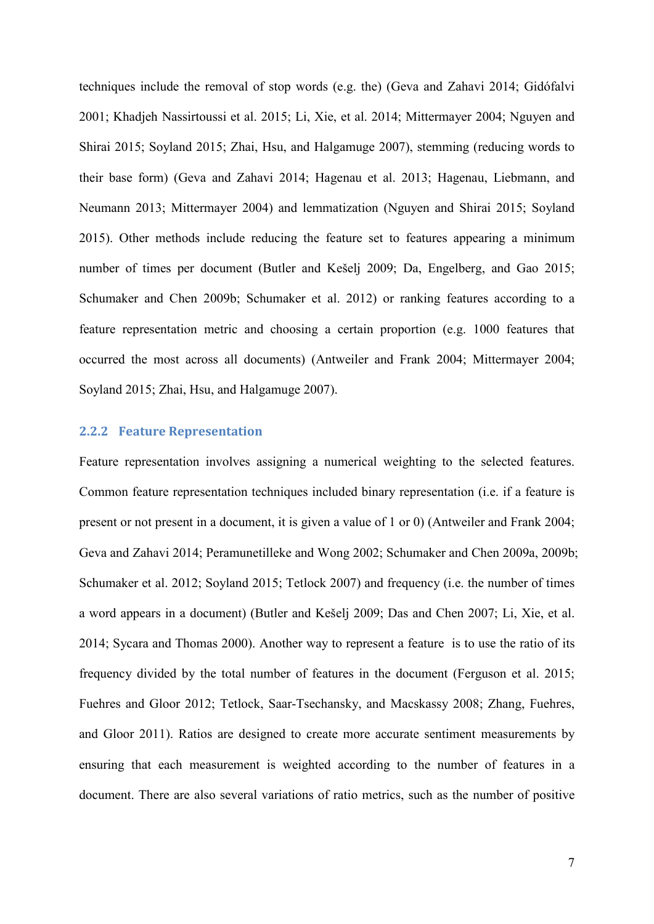techniques include the removal of stop words (e.g. the) (Geva and Zahavi 2014; Gidófalvi 2001; Khadjeh Nassirtoussi et al. 2015; Li, Xie, et al. 2014; Mittermayer 2004; Nguyen and Shirai 2015; Soyland 2015; Zhai, Hsu, and Halgamuge 2007), stemming (reducing words to their base form) (Geva and Zahavi 2014; Hagenau et al. 2013; Hagenau, Liebmann, and Neumann 2013; Mittermayer 2004) and lemmatization (Nguyen and Shirai 2015; Soyland 2015). Other methods include reducing the feature set to features appearing a minimum number of times per document (Butler and Kešelj 2009; Da, Engelberg, and Gao 2015; Schumaker and Chen 2009b; Schumaker et al. 2012) or ranking features according to a feature representation metric and choosing a certain proportion (e.g. 1000 features that occurred the most across all documents) (Antweiler and Frank 2004; Mittermayer 2004; Soyland 2015; Zhai, Hsu, and Halgamuge 2007).

### **2.2.2 Feature Representation**

Feature representation involves assigning a numerical weighting to the selected features. Common feature representation techniques included binary representation (i.e. if a feature is present or not present in a document, it is given a value of 1 or 0) (Antweiler and Frank 2004; Geva and Zahavi 2014; Peramunetilleke and Wong 2002; Schumaker and Chen 2009a, 2009b; Schumaker et al. 2012; Soyland 2015; Tetlock 2007) and frequency (i.e. the number of times a word appears in a document) (Butler and Kešelj 2009; Das and Chen 2007; Li, Xie, et al. 2014; Sycara and Thomas 2000). Another way to represent a feature is to use the ratio of its frequency divided by the total number of features in the document (Ferguson et al. 2015; Fuehres and Gloor 2012; Tetlock, Saar-Tsechansky, and Macskassy 2008; Zhang, Fuehres, and Gloor 2011). Ratios are designed to create more accurate sentiment measurements by ensuring that each measurement is weighted according to the number of features in a document. There are also several variations of ratio metrics, such as the number of positive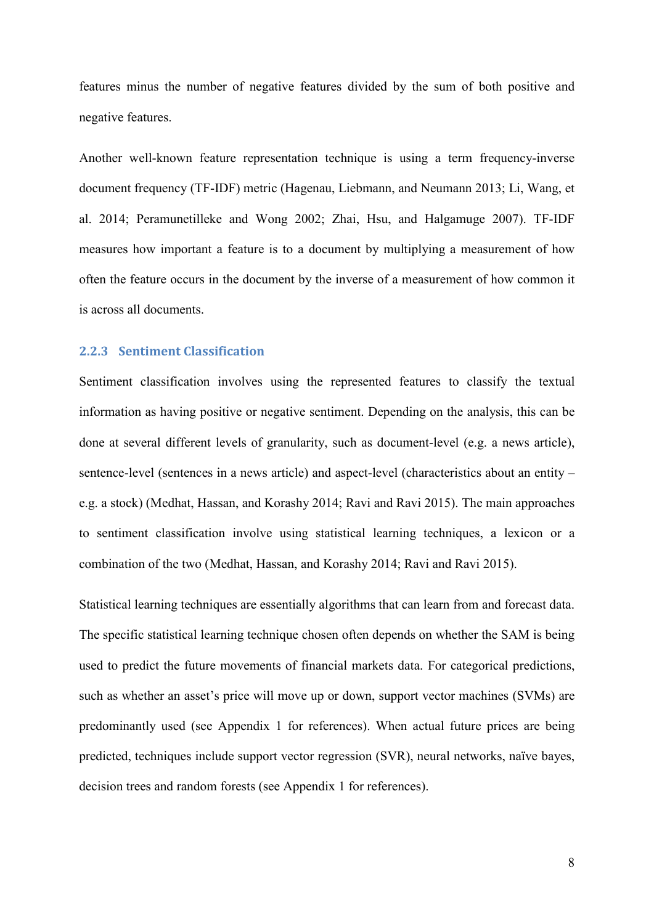features minus the number of negative features divided by the sum of both positive and negative features.

Another well-known feature representation technique is using a term frequency-inverse document frequency (TF-IDF) metric (Hagenau, Liebmann, and Neumann 2013; Li, Wang, et al. 2014; Peramunetilleke and Wong 2002; Zhai, Hsu, and Halgamuge 2007). TF-IDF measures how important a feature is to a document by multiplying a measurement of how often the feature occurs in the document by the inverse of a measurement of how common it is across all documents.

### **2.2.3 Sentiment Classification**

Sentiment classification involves using the represented features to classify the textual information as having positive or negative sentiment. Depending on the analysis, this can be done at several different levels of granularity, such as document-level (e.g. a news article), sentence-level (sentences in a news article) and aspect-level (characteristics about an entity – e.g. a stock) (Medhat, Hassan, and Korashy 2014; Ravi and Ravi 2015). The main approaches to sentiment classification involve using statistical learning techniques, a lexicon or a combination of the two (Medhat, Hassan, and Korashy 2014; Ravi and Ravi 2015).

Statistical learning techniques are essentially algorithms that can learn from and forecast data. The specific statistical learning technique chosen often depends on whether the SAM is being used to predict the future movements of financial markets data. For categorical predictions, such as whether an asset's price will move up or down, support vector machines (SVMs) are predominantly used (see Appendix 1 for references). When actual future prices are being predicted, techniques include support vector regression (SVR), neural networks, naïve bayes, decision trees and random forests (see Appendix 1 for references).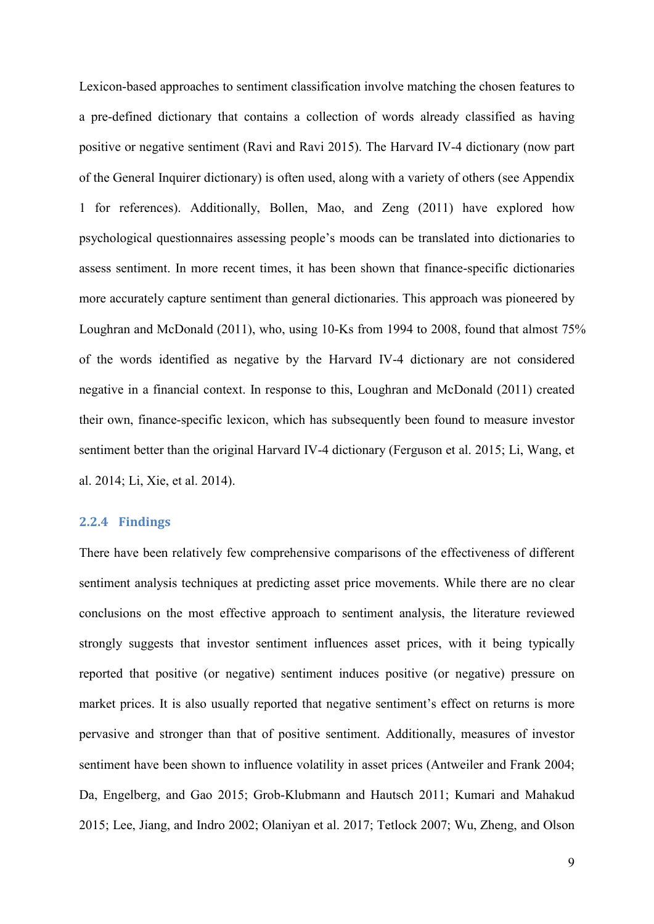Lexicon-based approaches to sentiment classification involve matching the chosen features to a pre-defined dictionary that contains a collection of words already classified as having positive or negative sentiment (Ravi and Ravi 2015). The Harvard IV-4 dictionary (now part of the General Inquirer dictionary) is often used, along with a variety of others (see Appendix 1 for references). Additionally, Bollen, Mao, and Zeng (2011) have explored how psychological questionnaires assessing people's moods can be translated into dictionaries to assess sentiment. In more recent times, it has been shown that finance-specific dictionaries more accurately capture sentiment than general dictionaries. This approach was pioneered by Loughran and McDonald (2011), who, using 10-Ks from 1994 to 2008, found that almost 75% of the words identified as negative by the Harvard IV-4 dictionary are not considered negative in a financial context. In response to this, Loughran and McDonald (2011) created their own, finance-specific lexicon, which has subsequently been found to measure investor sentiment better than the original Harvard IV-4 dictionary (Ferguson et al. 2015; Li, Wang, et al. 2014; Li, Xie, et al. 2014).

### **2.2.4 Findings**

There have been relatively few comprehensive comparisons of the effectiveness of different sentiment analysis techniques at predicting asset price movements. While there are no clear conclusions on the most effective approach to sentiment analysis, the literature reviewed strongly suggests that investor sentiment influences asset prices, with it being typically reported that positive (or negative) sentiment induces positive (or negative) pressure on market prices. It is also usually reported that negative sentiment's effect on returns is more pervasive and stronger than that of positive sentiment. Additionally, measures of investor sentiment have been shown to influence volatility in asset prices (Antweiler and Frank 2004; Da, Engelberg, and Gao 2015; Grob-Klubmann and Hautsch 2011; Kumari and Mahakud 2015; Lee, Jiang, and Indro 2002; Olaniyan et al. 2017; Tetlock 2007; Wu, Zheng, and Olson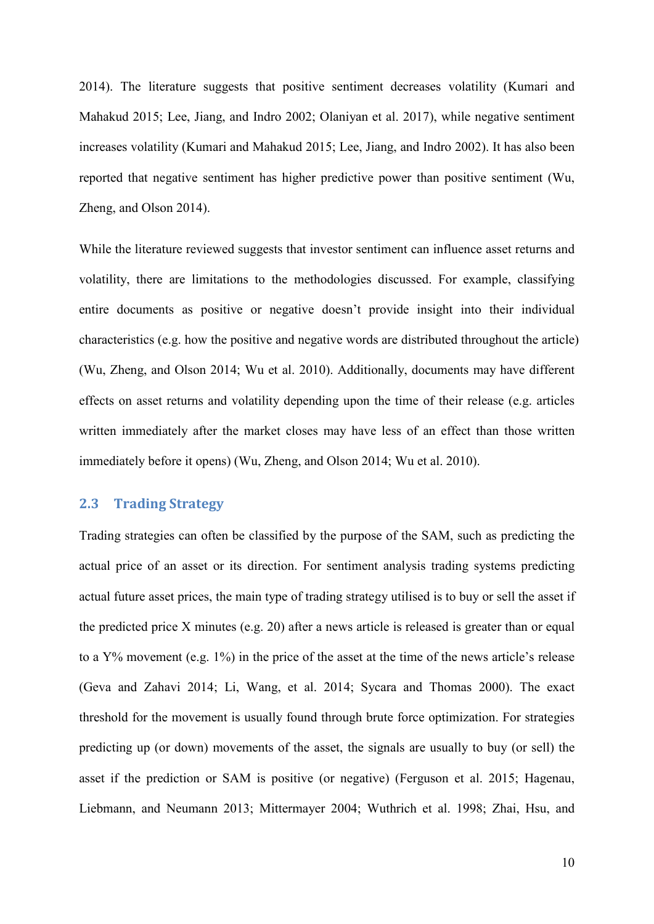2014). The literature suggests that positive sentiment decreases volatility (Kumari and Mahakud 2015; Lee, Jiang, and Indro 2002; Olaniyan et al. 2017), while negative sentiment increases volatility (Kumari and Mahakud 2015; Lee, Jiang, and Indro 2002). It has also been reported that negative sentiment has higher predictive power than positive sentiment (Wu, Zheng, and Olson 2014).

While the literature reviewed suggests that investor sentiment can influence asset returns and volatility, there are limitations to the methodologies discussed. For example, classifying entire documents as positive or negative doesn't provide insight into their individual characteristics (e.g. how the positive and negative words are distributed throughout the article) (Wu, Zheng, and Olson 2014; Wu et al. 2010). Additionally, documents may have different effects on asset returns and volatility depending upon the time of their release (e.g. articles written immediately after the market closes may have less of an effect than those written immediately before it opens) (Wu, Zheng, and Olson 2014; Wu et al. 2010).

### **2.3 Trading Strategy**

Trading strategies can often be classified by the purpose of the SAM, such as predicting the actual price of an asset or its direction. For sentiment analysis trading systems predicting actual future asset prices, the main type of trading strategy utilised is to buy or sell the asset if the predicted price X minutes (e.g. 20) after a news article is released is greater than or equal to a Y% movement (e.g. 1%) in the price of the asset at the time of the news article's release (Geva and Zahavi 2014; Li, Wang, et al. 2014; Sycara and Thomas 2000). The exact threshold for the movement is usually found through brute force optimization. For strategies predicting up (or down) movements of the asset, the signals are usually to buy (or sell) the asset if the prediction or SAM is positive (or negative) (Ferguson et al. 2015; Hagenau, Liebmann, and Neumann 2013; Mittermayer 2004; Wuthrich et al. 1998; Zhai, Hsu, and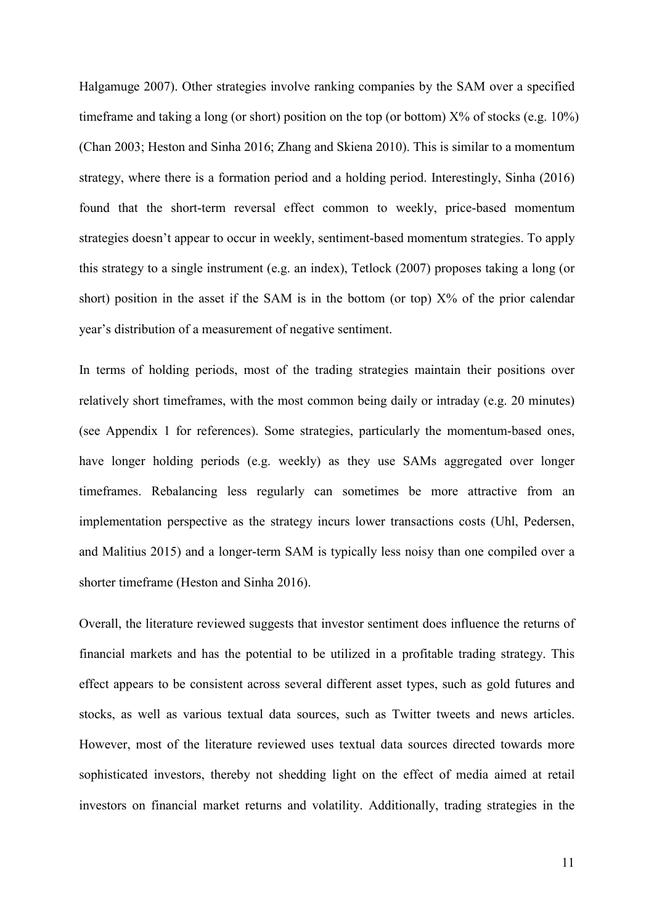Halgamuge 2007). Other strategies involve ranking companies by the SAM over a specified timeframe and taking a long (or short) position on the top (or bottom)  $X\%$  of stocks (e.g. 10%) (Chan 2003; Heston and Sinha 2016; Zhang and Skiena 2010). This is similar to a momentum strategy, where there is a formation period and a holding period. Interestingly, Sinha (2016) found that the short-term reversal effect common to weekly, price-based momentum strategies doesn't appear to occur in weekly, sentiment-based momentum strategies. To apply this strategy to a single instrument (e.g. an index), Tetlock (2007) proposes taking a long (or short) position in the asset if the SAM is in the bottom (or top)  $X\%$  of the prior calendar year's distribution of a measurement of negative sentiment.

In terms of holding periods, most of the trading strategies maintain their positions over relatively short timeframes, with the most common being daily or intraday (e.g. 20 minutes) (see Appendix 1 for references). Some strategies, particularly the momentum-based ones, have longer holding periods (e.g. weekly) as they use SAMs aggregated over longer timeframes. Rebalancing less regularly can sometimes be more attractive from an implementation perspective as the strategy incurs lower transactions costs (Uhl, Pedersen, and Malitius 2015) and a longer-term SAM is typically less noisy than one compiled over a shorter timeframe (Heston and Sinha 2016).

Overall, the literature reviewed suggests that investor sentiment does influence the returns of financial markets and has the potential to be utilized in a profitable trading strategy. This effect appears to be consistent across several different asset types, such as gold futures and stocks, as well as various textual data sources, such as Twitter tweets and news articles. However, most of the literature reviewed uses textual data sources directed towards more sophisticated investors, thereby not shedding light on the effect of media aimed at retail investors on financial market returns and volatility. Additionally, trading strategies in the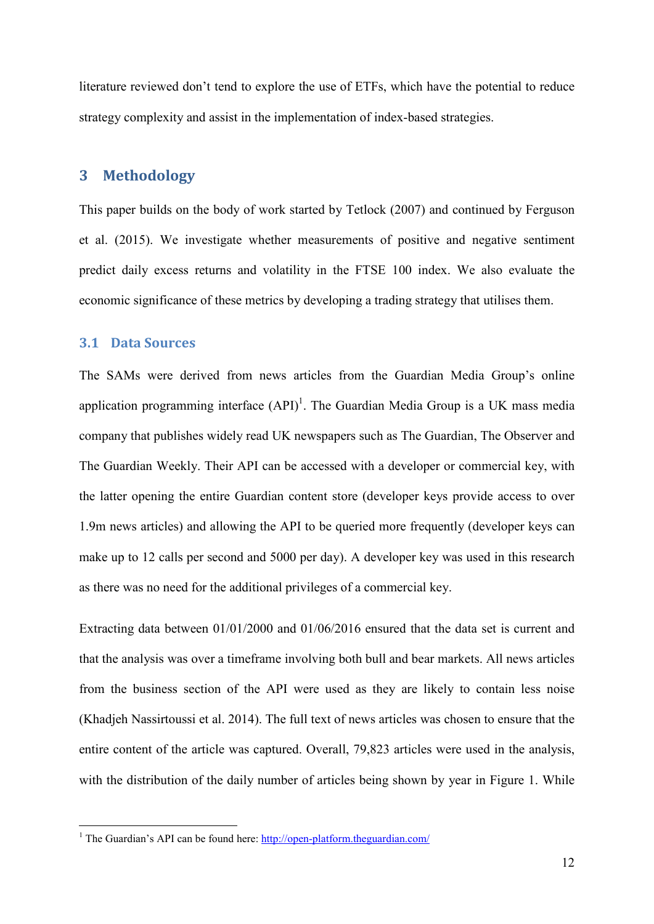literature reviewed don't tend to explore the use of ETFs, which have the potential to reduce strategy complexity and assist in the implementation of index-based strategies.

# **3 Methodology**

This paper builds on the body of work started by Tetlock (2007) and continued by Ferguson et al. (2015). We investigate whether measurements of positive and negative sentiment predict daily excess returns and volatility in the FTSE 100 index. We also evaluate the economic significance of these metrics by developing a trading strategy that utilises them.

### **3.1 Data Sources**

<u>.</u>

The SAMs were derived from news articles from the Guardian Media Group's online application programming interface  $(API)^1$ . The Guardian Media Group is a UK mass media company that publishes widely read UK newspapers such as The Guardian, The Observer and The Guardian Weekly. Their API can be accessed with a developer or commercial key, with the latter opening the entire Guardian content store (developer keys provide access to over 1.9m news articles) and allowing the API to be queried more frequently (developer keys can make up to 12 calls per second and 5000 per day). A developer key was used in this research as there was no need for the additional privileges of a commercial key.

Extracting data between 01/01/2000 and 01/06/2016 ensured that the data set is current and that the analysis was over a timeframe involving both bull and bear markets. All news articles from the business section of the API were used as they are likely to contain less noise (Khadjeh Nassirtoussi et al. 2014). The full text of news articles was chosen to ensure that the entire content of the article was captured. Overall, 79,823 articles were used in the analysis, with the distribution of the daily number of articles being shown by year in Figure 1. While

<sup>&</sup>lt;sup>1</sup> The Guardian's API can be found here: http://open-platform.theguardian.com/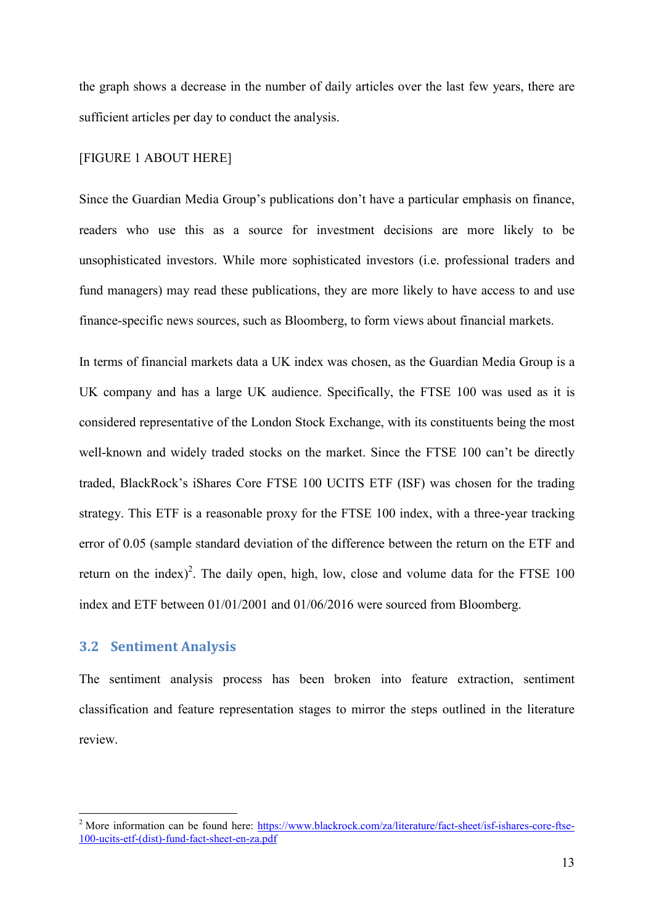the graph shows a decrease in the number of daily articles over the last few years, there are sufficient articles per day to conduct the analysis.

### [FIGURE 1 ABOUT HERE]

Since the Guardian Media Group's publications don't have a particular emphasis on finance, readers who use this as a source for investment decisions are more likely to be unsophisticated investors. While more sophisticated investors (i.e. professional traders and fund managers) may read these publications, they are more likely to have access to and use finance-specific news sources, such as Bloomberg, to form views about financial markets.

In terms of financial markets data a UK index was chosen, as the Guardian Media Group is a UK company and has a large UK audience. Specifically, the FTSE 100 was used as it is considered representative of the London Stock Exchange, with its constituents being the most well-known and widely traded stocks on the market. Since the FTSE 100 can't be directly traded, BlackRock's iShares Core FTSE 100 UCITS ETF (ISF) was chosen for the trading strategy. This ETF is a reasonable proxy for the FTSE 100 index, with a three-year tracking error of 0.05 (sample standard deviation of the difference between the return on the ETF and return on the index)<sup>2</sup>. The daily open, high, low, close and volume data for the FTSE  $100$ index and ETF between 01/01/2001 and 01/06/2016 were sourced from Bloomberg.

### **3.2 Sentiment Analysis**

-

The sentiment analysis process has been broken into feature extraction, sentiment classification and feature representation stages to mirror the steps outlined in the literature review.

<sup>&</sup>lt;sup>2</sup> More information can be found here: https://www.blackrock.com/za/literature/fact-sheet/isf-ishares-core-ftse-100-ucits-etf-(dist)-fund-fact-sheet-en-za.pdf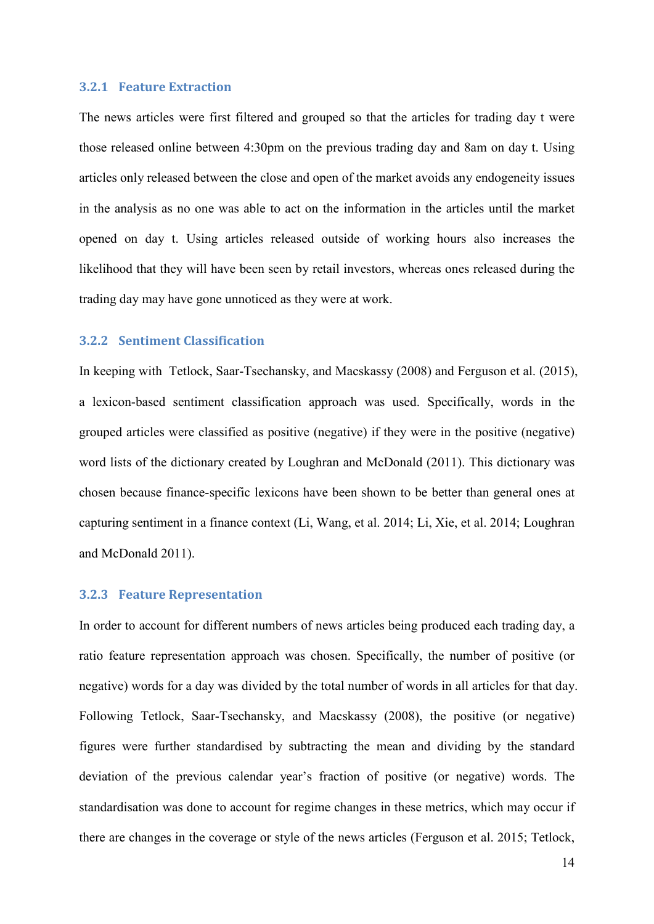### **3.2.1 Feature Extraction**

The news articles were first filtered and grouped so that the articles for trading day t were those released online between 4:30pm on the previous trading day and 8am on day t. Using articles only released between the close and open of the market avoids any endogeneity issues in the analysis as no one was able to act on the information in the articles until the market opened on day t. Using articles released outside of working hours also increases the likelihood that they will have been seen by retail investors, whereas ones released during the trading day may have gone unnoticed as they were at work.

#### **3.2.2 Sentiment Classification**

In keeping with Tetlock, Saar-Tsechansky, and Macskassy (2008) and Ferguson et al. (2015), a lexicon-based sentiment classification approach was used. Specifically, words in the grouped articles were classified as positive (negative) if they were in the positive (negative) word lists of the dictionary created by Loughran and McDonald (2011). This dictionary was chosen because finance-specific lexicons have been shown to be better than general ones at capturing sentiment in a finance context (Li, Wang, et al. 2014; Li, Xie, et al. 2014; Loughran and McDonald 2011).

### **3.2.3 Feature Representation**

In order to account for different numbers of news articles being produced each trading day, a ratio feature representation approach was chosen. Specifically, the number of positive (or negative) words for a day was divided by the total number of words in all articles for that day. Following Tetlock, Saar-Tsechansky, and Macskassy (2008), the positive (or negative) figures were further standardised by subtracting the mean and dividing by the standard deviation of the previous calendar year's fraction of positive (or negative) words. The standardisation was done to account for regime changes in these metrics, which may occur if there are changes in the coverage or style of the news articles (Ferguson et al. 2015; Tetlock,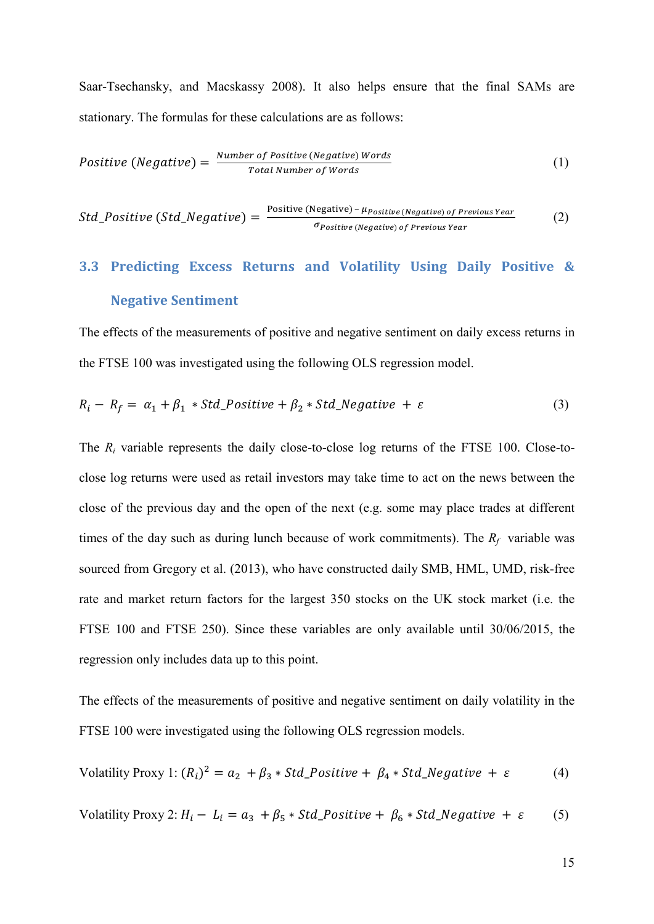Saar-Tsechansky, and Macskassy 2008). It also helps ensure that the final SAMs are stationary. The formulas for these calculations are as follows:

*Positive (Negative)* = 
$$
\frac{Number\ of\ Positive\ (Negative)\ Words}{Total\ Number\ of\ Words}
$$
 (1)

 $Std\_Positive\ (Std\_Negative) = \frac{Positive\ (Negative) - \mu_{Positive\ (Negative)\ of\ Previous\ Year}}{\sigma_{Positive\ (Negative)\ of\ Previous\ Year}}$ (2)

# **3.3 Predicting Excess Returns and Volatility Using Daily Positive & Negative Sentiment**

The effects of the measurements of positive and negative sentiment on daily excess returns in the FTSE 100 was investigated using the following OLS regression model.

$$
R_i - R_f = \alpha_1 + \beta_1 * Std\_Positive + \beta_2 * Std\_Negative + \varepsilon
$$
 (3)

The  $R_i$  variable represents the daily close-to-close log returns of the FTSE 100. Close-toclose log returns were used as retail investors may take time to act on the news between the close of the previous day and the open of the next (e.g. some may place trades at different times of the day such as during lunch because of work commitments). The  $R_f$  variable was sourced from Gregory et al. (2013), who have constructed daily SMB, HML, UMD, risk-free rate and market return factors for the largest 350 stocks on the UK stock market (i.e. the FTSE 100 and FTSE 250). Since these variables are only available until 30/06/2015, the regression only includes data up to this point.

The effects of the measurements of positive and negative sentiment on daily volatility in the FTSE 100 were investigated using the following OLS regression models.

Volatility Proxy 1: 
$$
(R_i)^2 = a_2 + \beta_3 * Std\_Positive + \beta_4 * Std\_Negative + \varepsilon
$$
 (4)

Volatility Proxy 2:  $H_i - L_i = a_3 + \beta_5 * Std\_Positive + \beta_6 * Std\_Negative + \varepsilon$  (5)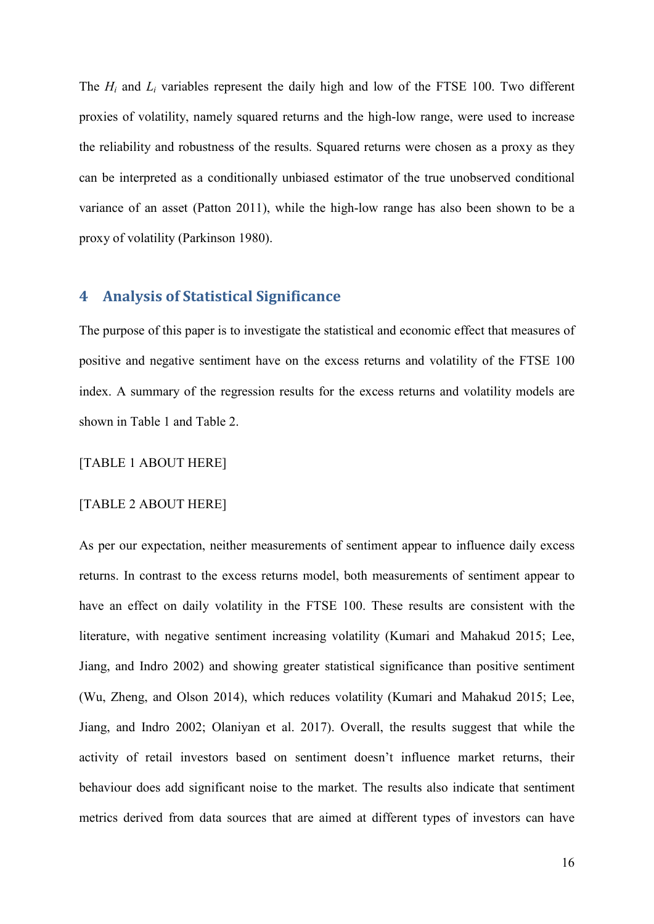The  $H_i$  and  $L_i$  variables represent the daily high and low of the FTSE 100. Two different proxies of volatility, namely squared returns and the high-low range, were used to increase the reliability and robustness of the results. Squared returns were chosen as a proxy as they can be interpreted as a conditionally unbiased estimator of the true unobserved conditional variance of an asset (Patton 2011), while the high-low range has also been shown to be a proxy of volatility (Parkinson 1980).

### **4 Analysis of Statistical Significance**

The purpose of this paper is to investigate the statistical and economic effect that measures of positive and negative sentiment have on the excess returns and volatility of the FTSE 100 index. A summary of the regression results for the excess returns and volatility models are shown in Table 1 and Table 2.

### [TABLE 1 ABOUT HERE]

### [TABLE 2 ABOUT HERE]

As per our expectation, neither measurements of sentiment appear to influence daily excess returns. In contrast to the excess returns model, both measurements of sentiment appear to have an effect on daily volatility in the FTSE 100. These results are consistent with the literature, with negative sentiment increasing volatility (Kumari and Mahakud 2015; Lee, Jiang, and Indro 2002) and showing greater statistical significance than positive sentiment (Wu, Zheng, and Olson 2014), which reduces volatility (Kumari and Mahakud 2015; Lee, Jiang, and Indro 2002; Olaniyan et al. 2017). Overall, the results suggest that while the activity of retail investors based on sentiment doesn't influence market returns, their behaviour does add significant noise to the market. The results also indicate that sentiment metrics derived from data sources that are aimed at different types of investors can have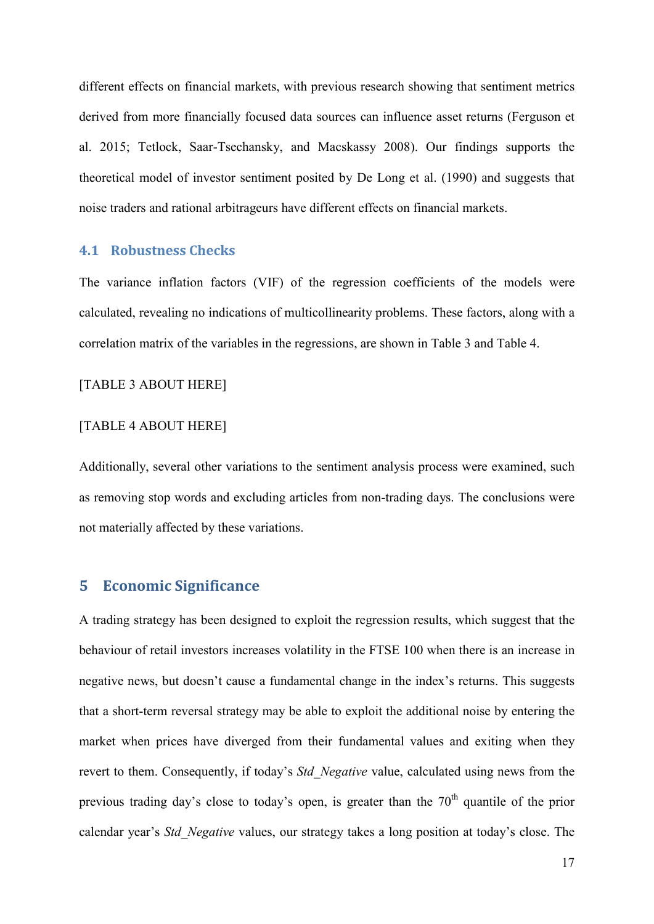different effects on financial markets, with previous research showing that sentiment metrics derived from more financially focused data sources can influence asset returns (Ferguson et al. 2015; Tetlock, Saar-Tsechansky, and Macskassy 2008). Our findings supports the theoretical model of investor sentiment posited by De Long et al. (1990) and suggests that noise traders and rational arbitrageurs have different effects on financial markets.

### **4.1 Robustness Checks**

The variance inflation factors (VIF) of the regression coefficients of the models were calculated, revealing no indications of multicollinearity problems. These factors, along with a correlation matrix of the variables in the regressions, are shown in Table 3 and Table 4.

### [TABLE 3 ABOUT HERE]

# [TABLE 4 ABOUT HERE]

Additionally, several other variations to the sentiment analysis process were examined, such as removing stop words and excluding articles from non-trading days. The conclusions were not materially affected by these variations.

# **5 Economic Significance**

A trading strategy has been designed to exploit the regression results, which suggest that the behaviour of retail investors increases volatility in the FTSE 100 when there is an increase in negative news, but doesn't cause a fundamental change in the index's returns. This suggests that a short-term reversal strategy may be able to exploit the additional noise by entering the market when prices have diverged from their fundamental values and exiting when they revert to them. Consequently, if today's *Std\_Negative* value, calculated using news from the previous trading day's close to today's open, is greater than the  $70<sup>th</sup>$  quantile of the prior calendar year's *Std\_Negative* values, our strategy takes a long position at today's close. The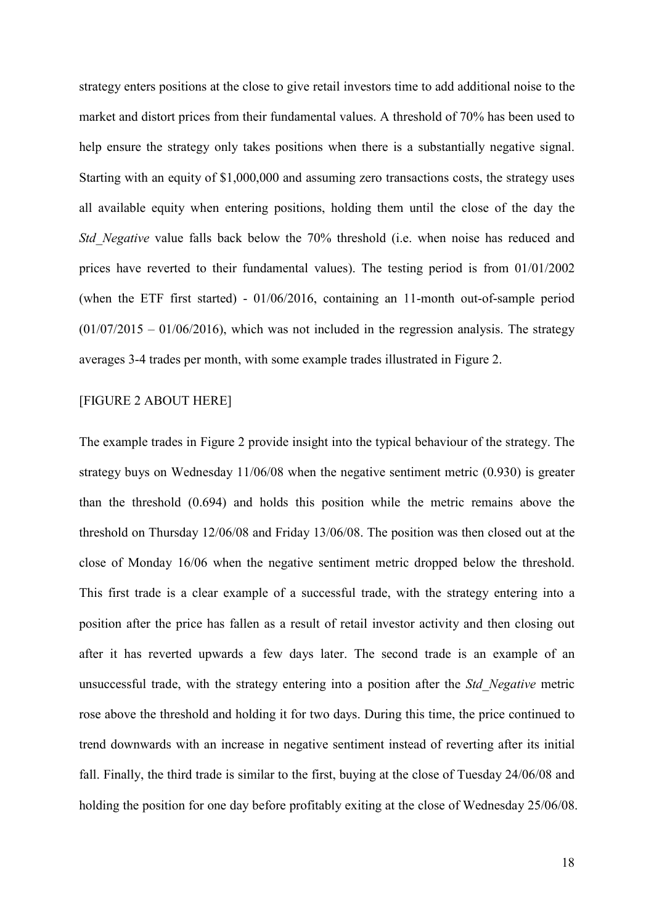strategy enters positions at the close to give retail investors time to add additional noise to the market and distort prices from their fundamental values. A threshold of 70% has been used to help ensure the strategy only takes positions when there is a substantially negative signal. Starting with an equity of \$1,000,000 and assuming zero transactions costs, the strategy uses all available equity when entering positions, holding them until the close of the day the *Std Negative* value falls back below the 70% threshold (i.e. when noise has reduced and prices have reverted to their fundamental values). The testing period is from 01/01/2002 (when the ETF first started) - 01/06/2016, containing an 11-month out-of-sample period  $(01/07/2015 - 01/06/2016)$ , which was not included in the regression analysis. The strategy averages 3-4 trades per month, with some example trades illustrated in Figure 2.

### [FIGURE 2 ABOUT HERE]

The example trades in Figure 2 provide insight into the typical behaviour of the strategy. The strategy buys on Wednesday 11/06/08 when the negative sentiment metric (0.930) is greater than the threshold (0.694) and holds this position while the metric remains above the threshold on Thursday 12/06/08 and Friday 13/06/08. The position was then closed out at the close of Monday 16/06 when the negative sentiment metric dropped below the threshold. This first trade is a clear example of a successful trade, with the strategy entering into a position after the price has fallen as a result of retail investor activity and then closing out after it has reverted upwards a few days later. The second trade is an example of an unsuccessful trade, with the strategy entering into a position after the *Std\_Negative* metric rose above the threshold and holding it for two days. During this time, the price continued to trend downwards with an increase in negative sentiment instead of reverting after its initial fall. Finally, the third trade is similar to the first, buying at the close of Tuesday 24/06/08 and holding the position for one day before profitably exiting at the close of Wednesday 25/06/08.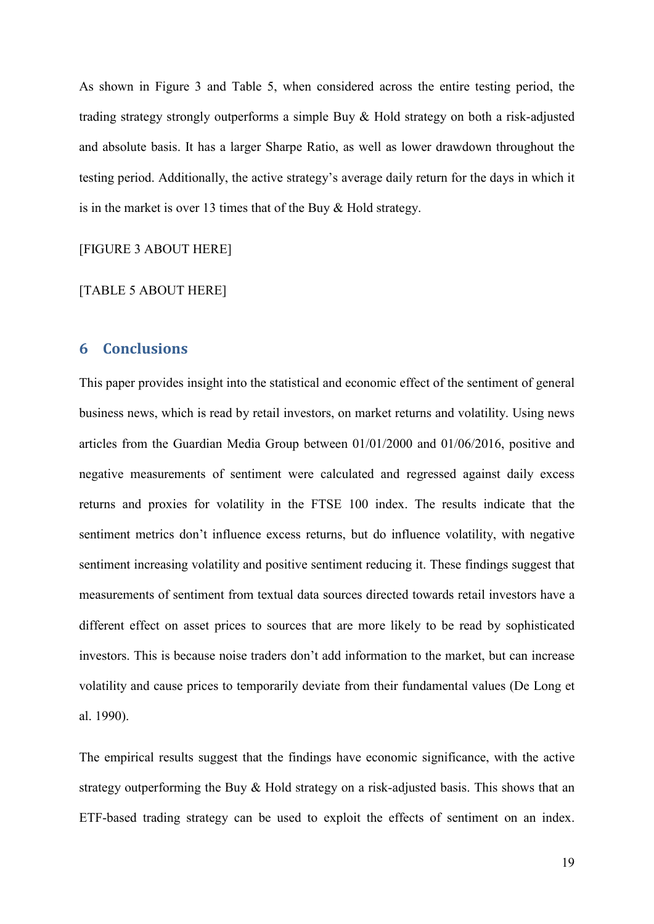As shown in Figure 3 and Table 5, when considered across the entire testing period, the trading strategy strongly outperforms a simple Buy & Hold strategy on both a risk-adjusted and absolute basis. It has a larger Sharpe Ratio, as well as lower drawdown throughout the testing period. Additionally, the active strategy's average daily return for the days in which it is in the market is over 13 times that of the Buy & Hold strategy.

[FIGURE 3 ABOUT HERE]

### [TABLE 5 ABOUT HERE]

# **6 Conclusions**

This paper provides insight into the statistical and economic effect of the sentiment of general business news, which is read by retail investors, on market returns and volatility. Using news articles from the Guardian Media Group between 01/01/2000 and 01/06/2016, positive and negative measurements of sentiment were calculated and regressed against daily excess returns and proxies for volatility in the FTSE 100 index. The results indicate that the sentiment metrics don't influence excess returns, but do influence volatility, with negative sentiment increasing volatility and positive sentiment reducing it. These findings suggest that measurements of sentiment from textual data sources directed towards retail investors have a different effect on asset prices to sources that are more likely to be read by sophisticated investors. This is because noise traders don't add information to the market, but can increase volatility and cause prices to temporarily deviate from their fundamental values (De Long et al. 1990).

The empirical results suggest that the findings have economic significance, with the active strategy outperforming the Buy & Hold strategy on a risk-adjusted basis. This shows that an ETF-based trading strategy can be used to exploit the effects of sentiment on an index.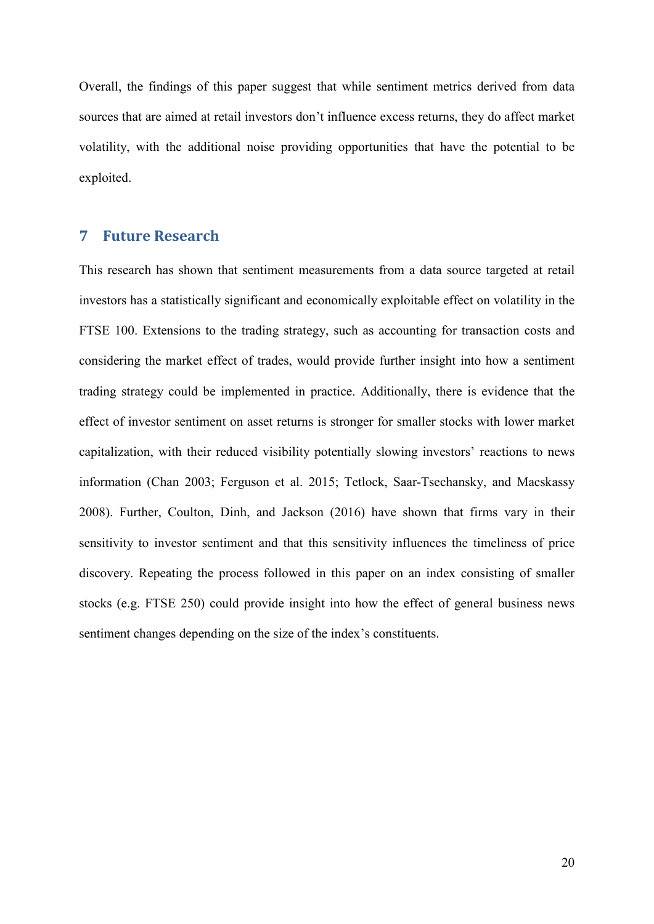Overall, the findings of this paper suggest that while sentiment metrics derived from data sources that are aimed at retail investors don't influence excess returns, they do affect market volatility, with the additional noise providing opportunities that have the potential to be exploited.

# **7 Future Research**

This research has shown that sentiment measurements from a data source targeted at retail investors has a statistically significant and economically exploitable effect on volatility in the FTSE 100. Extensions to the trading strategy, such as accounting for transaction costs and considering the market effect of trades, would provide further insight into how a sentiment trading strategy could be implemented in practice. Additionally, there is evidence that the effect of investor sentiment on asset returns is stronger for smaller stocks with lower market capitalization, with their reduced visibility potentially slowing investors' reactions to news information (Chan 2003; Ferguson et al. 2015; Tetlock, Saar-Tsechansky, and Macskassy 2008). Further, Coulton, Dinh, and Jackson (2016) have shown that firms vary in their sensitivity to investor sentiment and that this sensitivity influences the timeliness of price discovery. Repeating the process followed in this paper on an index consisting of smaller stocks (e.g. FTSE 250) could provide insight into how the effect of general business news sentiment changes depending on the size of the index's constituents.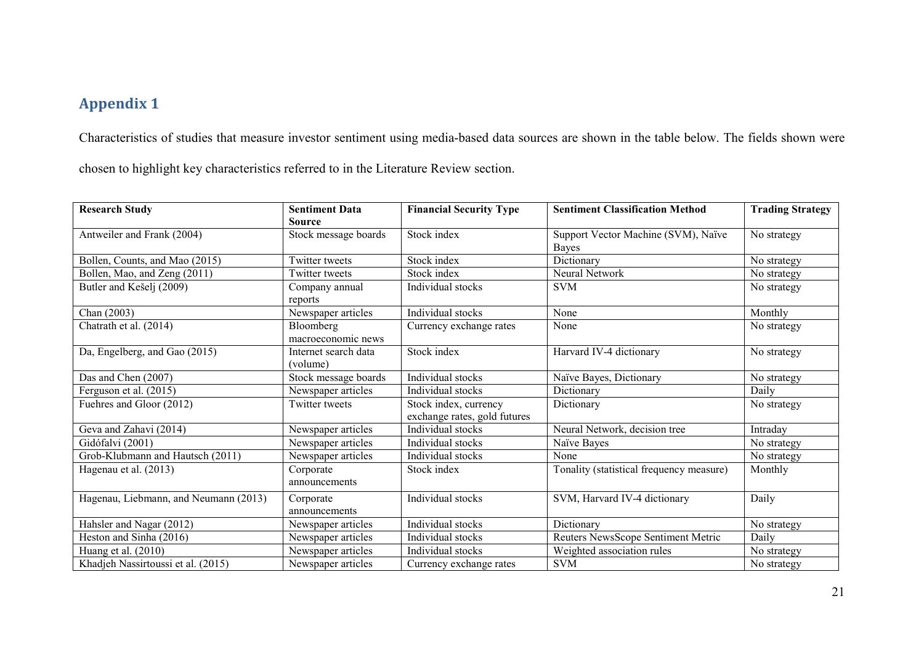# **Appendix 1**

Characteristics of studies that measure investor sentiment using media-based data sources are shown in the table below. The fields shown were

chosen to highlight key characteristics referred to in the Literature Review section.

| <b>Research Study</b>                 | <b>Sentiment Data</b> | <b>Financial Security Type</b> | <b>Sentiment Classification Method</b>   | <b>Trading Strategy</b> |
|---------------------------------------|-----------------------|--------------------------------|------------------------------------------|-------------------------|
|                                       | <b>Source</b>         |                                |                                          |                         |
| Antweiler and Frank (2004)            | Stock message boards  | Stock index                    | Support Vector Machine (SVM), Naïve      | No strategy             |
|                                       |                       |                                | Bayes                                    |                         |
| Bollen, Counts, and Mao (2015)        | Twitter tweets        | Stock index                    | Dictionary                               | No strategy             |
| Bollen, Mao, and Zeng (2011)          | Twitter tweets        | Stock index                    | Neural Network                           | No strategy             |
| Butler and Kešelj (2009)              | Company annual        | Individual stocks              | <b>SVM</b>                               | No strategy             |
|                                       | reports               |                                |                                          |                         |
| Chan (2003)                           | Newspaper articles    | Individual stocks              | None                                     | Monthly                 |
| Chatrath et al. (2014)                | Bloomberg             | Currency exchange rates        | None                                     | No strategy             |
|                                       | macroeconomic news    |                                |                                          |                         |
| Da, Engelberg, and Gao (2015)         | Internet search data  | Stock index                    | Harvard IV-4 dictionary                  | No strategy             |
|                                       | (volume)              |                                |                                          |                         |
| Das and Chen (2007)                   | Stock message boards  | Individual stocks              | Naïve Bayes, Dictionary                  | No strategy             |
| Ferguson et al. (2015)                | Newspaper articles    | Individual stocks              | Dictionary                               | Daily                   |
| Fuehres and Gloor (2012)              | Twitter tweets        | Stock index, currency          | Dictionary                               | No strategy             |
|                                       |                       | exchange rates, gold futures   |                                          |                         |
| Geva and Zahavi (2014)                | Newspaper articles    | Individual stocks              | Neural Network, decision tree            | Intraday                |
| Gidófalvi (2001)                      | Newspaper articles    | Individual stocks              | Naïve Bayes                              | No strategy             |
| Grob-Klubmann and Hautsch (2011)      | Newspaper articles    | Individual stocks              | None                                     | No strategy             |
| Hagenau et al. (2013)                 | Corporate             | Stock index                    | Tonality (statistical frequency measure) | Monthly                 |
|                                       | announcements         |                                |                                          |                         |
| Hagenau, Liebmann, and Neumann (2013) | Corporate             | Individual stocks              | SVM, Harvard IV-4 dictionary             | Daily                   |
|                                       | announcements         |                                |                                          |                         |
| Hahsler and Nagar (2012)              | Newspaper articles    | Individual stocks              | Dictionary                               | No strategy             |
| Heston and Sinha (2016)               | Newspaper articles    | Individual stocks              | Reuters NewsScope Sentiment Metric       | Daily                   |
| Huang et al. (2010)                   | Newspaper articles    | Individual stocks              | Weighted association rules               | No strategy             |
| Khadjeh Nassirtoussi et al. (2015)    | Newspaper articles    | Currency exchange rates        | <b>SVM</b>                               | No strategy             |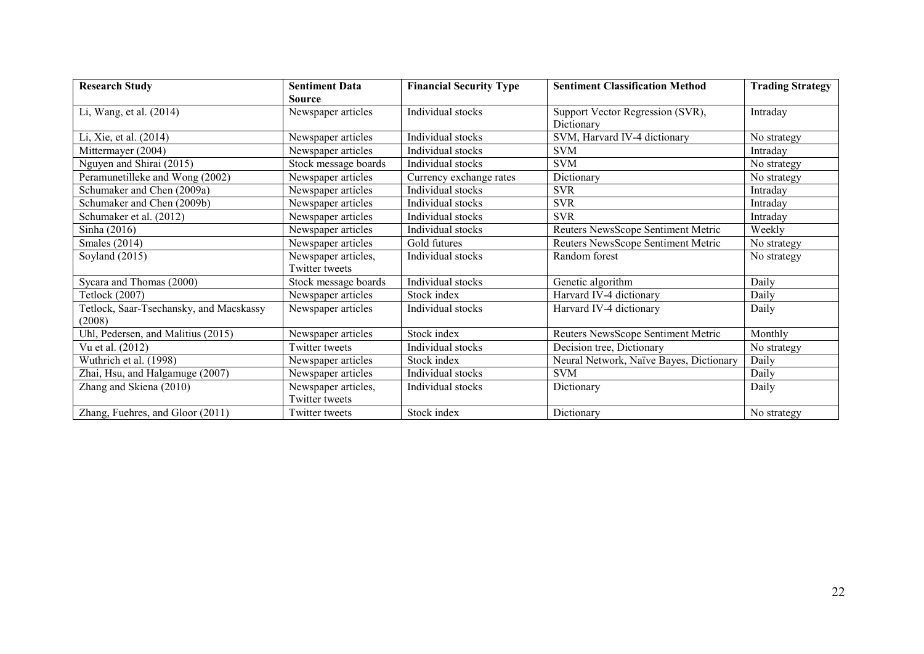| <b>Research Study</b>                   | <b>Sentiment Data</b> | <b>Financial Security Type</b> | <b>Sentiment Classification Method</b>  | <b>Trading Strategy</b> |
|-----------------------------------------|-----------------------|--------------------------------|-----------------------------------------|-------------------------|
|                                         | <b>Source</b>         |                                |                                         |                         |
| Li, Wang, et al. (2014)                 | Newspaper articles    | Individual stocks              | Support Vector Regression (SVR),        | Intraday                |
|                                         |                       |                                | Dictionary                              |                         |
| Li, Xie, et al. (2014)                  | Newspaper articles    | Individual stocks              | SVM, Harvard IV-4 dictionary            | No strategy             |
| Mittermayer (2004)                      | Newspaper articles    | Individual stocks              | <b>SVM</b>                              | Intraday                |
| Nguyen and Shirai (2015)                | Stock message boards  | Individual stocks              | <b>SVM</b>                              | No strategy             |
| Peramunetilleke and Wong (2002)         | Newspaper articles    | Currency exchange rates        | Dictionary                              | No strategy             |
| Schumaker and Chen (2009a)              | Newspaper articles    | Individual stocks              | <b>SVR</b>                              | Intradav                |
| Schumaker and Chen (2009b)              | Newspaper articles    | Individual stocks              | <b>SVR</b>                              | Intradav                |
| Schumaker et al. (2012)                 | Newspaper articles    | Individual stocks              | <b>SVR</b>                              | Intradav                |
| Sinha (2016)                            | Newspaper articles    | Individual stocks              | Reuters NewsScope Sentiment Metric      | Weekly                  |
| <b>Smales</b> (2014)                    | Newspaper articles    | Gold futures                   | Reuters NewsScope Sentiment Metric      | No strategy             |
| Soyland $(2015)$                        | Newspaper articles,   | Individual stocks              | Random forest                           | No strategy             |
|                                         | Twitter tweets        |                                |                                         |                         |
| Sycara and Thomas (2000)                | Stock message boards  | Individual stocks              | Genetic algorithm                       | Daily                   |
| Tetlock (2007)                          | Newspaper articles    | Stock index                    | Harvard IV-4 dictionary                 | Daily                   |
| Tetlock, Saar-Tsechansky, and Macskassy | Newspaper articles    | Individual stocks              | Harvard IV-4 dictionary                 | Daily                   |
| (2008)                                  |                       |                                |                                         |                         |
| Uhl, Pedersen, and Malitius (2015)      | Newspaper articles    | Stock index                    | Reuters NewsScope Sentiment Metric      | Monthly                 |
| Vu et al. (2012)                        | Twitter tweets        | Individual stocks              | Decision tree, Dictionary               | No strategy             |
| Wuthrich et al. (1998)                  | Newspaper articles    | Stock index                    | Neural Network, Naïve Bayes, Dictionary | Daily                   |
| Zhai, Hsu, and Halgamuge (2007)         | Newspaper articles    | Individual stocks              | <b>SVM</b>                              | Daily                   |
| Zhang and Skiena (2010)                 | Newspaper articles,   | Individual stocks              | Dictionary                              | Daily                   |
|                                         | Twitter tweets        |                                |                                         |                         |
| Zhang, Fuehres, and Gloor (2011)        | Twitter tweets        | Stock index                    | Dictionary                              | No strategy             |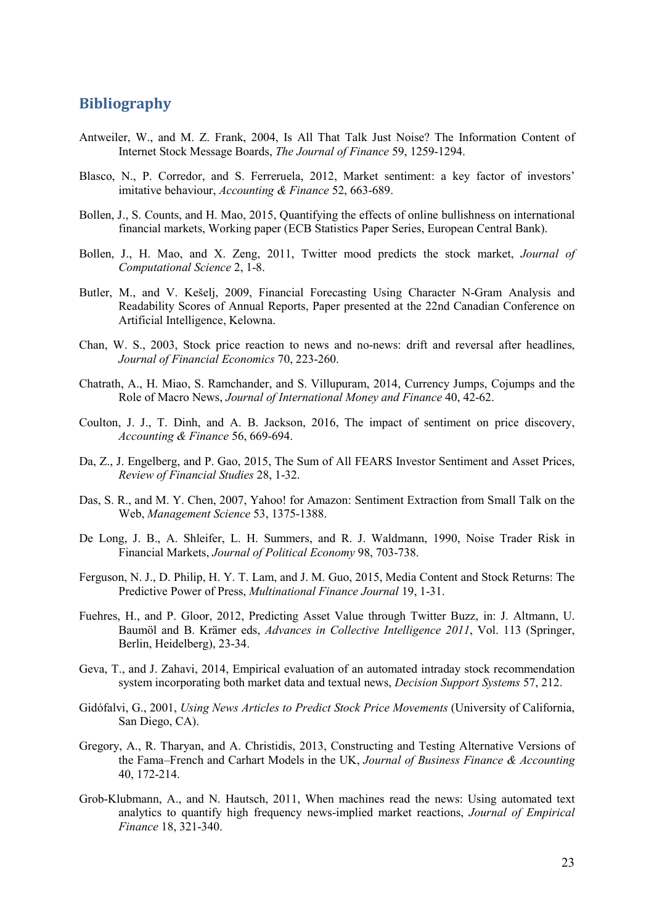# **Bibliography**

- Antweiler, W., and M. Z. Frank, 2004, Is All That Talk Just Noise? The Information Content of Internet Stock Message Boards, *The Journal of Finance* 59, 1259-1294.
- Blasco, N., P. Corredor, and S. Ferreruela, 2012, Market sentiment: a key factor of investors' imitative behaviour, *Accounting & Finance* 52, 663-689.
- Bollen, J., S. Counts, and H. Mao, 2015, Quantifying the effects of online bullishness on international financial markets, Working paper (ECB Statistics Paper Series, European Central Bank).
- Bollen, J., H. Mao, and X. Zeng, 2011, Twitter mood predicts the stock market, *Journal of Computational Science* 2, 1-8.
- Butler, M., and V. Kešelj, 2009, Financial Forecasting Using Character N-Gram Analysis and Readability Scores of Annual Reports, Paper presented at the 22nd Canadian Conference on Artificial Intelligence, Kelowna.
- Chan, W. S., 2003, Stock price reaction to news and no-news: drift and reversal after headlines, *Journal of Financial Economics* 70, 223-260.
- Chatrath, A., H. Miao, S. Ramchander, and S. Villupuram, 2014, Currency Jumps, Cojumps and the Role of Macro News, *Journal of International Money and Finance* 40, 42-62.
- Coulton, J. J., T. Dinh, and A. B. Jackson, 2016, The impact of sentiment on price discovery, *Accounting & Finance* 56, 669-694.
- Da, Z., J. Engelberg, and P. Gao, 2015, The Sum of All FEARS Investor Sentiment and Asset Prices, *Review of Financial Studies* 28, 1-32.
- Das, S. R., and M. Y. Chen, 2007, Yahoo! for Amazon: Sentiment Extraction from Small Talk on the Web, *Management Science* 53, 1375-1388.
- De Long, J. B., A. Shleifer, L. H. Summers, and R. J. Waldmann, 1990, Noise Trader Risk in Financial Markets, *Journal of Political Economy* 98, 703-738.
- Ferguson, N. J., D. Philip, H. Y. T. Lam, and J. M. Guo, 2015, Media Content and Stock Returns: The Predictive Power of Press, *Multinational Finance Journal* 19, 1-31.
- Fuehres, H., and P. Gloor, 2012, Predicting Asset Value through Twitter Buzz, in: J. Altmann, U. Baumöl and B. Krämer eds, *Advances in Collective Intelligence 2011*, Vol. 113 (Springer, Berlin, Heidelberg), 23-34.
- Geva, T., and J. Zahavi, 2014, Empirical evaluation of an automated intraday stock recommendation system incorporating both market data and textual news, *Decision Support Systems* 57, 212.
- Gidófalvi, G., 2001, *Using News Articles to Predict Stock Price Movements* (University of California, San Diego, CA).
- Gregory, A., R. Tharyan, and A. Christidis, 2013, Constructing and Testing Alternative Versions of the Fama–French and Carhart Models in the UK, *Journal of Business Finance & Accounting* 40, 172-214.
- Grob-Klubmann, A., and N. Hautsch, 2011, When machines read the news: Using automated text analytics to quantify high frequency news-implied market reactions, *Journal of Empirical Finance* 18, 321-340.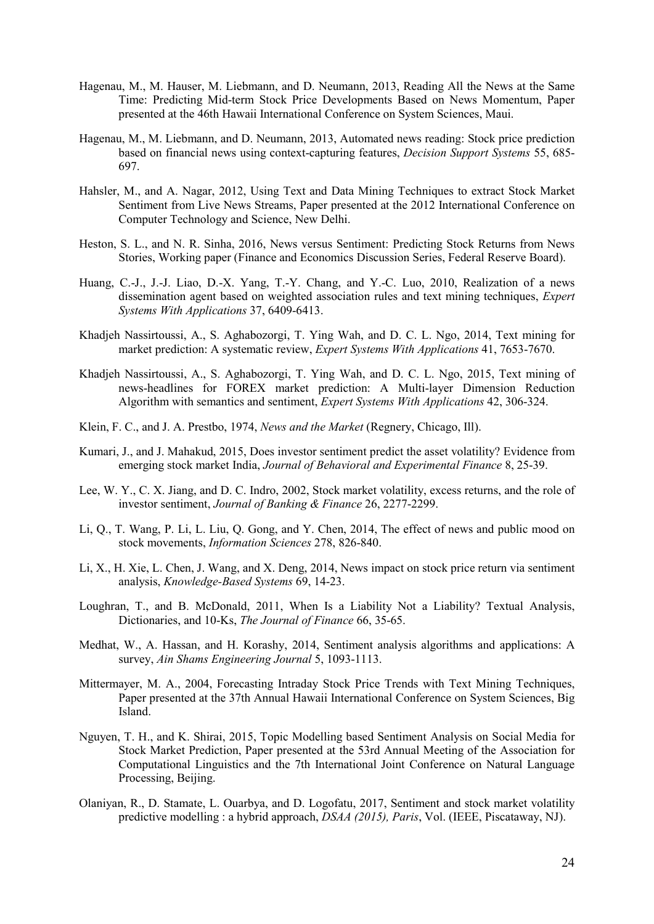- Hagenau, M., M. Hauser, M. Liebmann, and D. Neumann, 2013, Reading All the News at the Same Time: Predicting Mid-term Stock Price Developments Based on News Momentum, Paper presented at the 46th Hawaii International Conference on System Sciences, Maui.
- Hagenau, M., M. Liebmann, and D. Neumann, 2013, Automated news reading: Stock price prediction based on financial news using context-capturing features, *Decision Support Systems* 55, 685- 697.
- Hahsler, M., and A. Nagar, 2012, Using Text and Data Mining Techniques to extract Stock Market Sentiment from Live News Streams, Paper presented at the 2012 International Conference on Computer Technology and Science, New Delhi.
- Heston, S. L., and N. R. Sinha, 2016, News versus Sentiment: Predicting Stock Returns from News Stories, Working paper (Finance and Economics Discussion Series, Federal Reserve Board).
- Huang, C.-J., J.-J. Liao, D.-X. Yang, T.-Y. Chang, and Y.-C. Luo, 2010, Realization of a news dissemination agent based on weighted association rules and text mining techniques, *Expert Systems With Applications* 37, 6409-6413.
- Khadjeh Nassirtoussi, A., S. Aghabozorgi, T. Ying Wah, and D. C. L. Ngo, 2014, Text mining for market prediction: A systematic review, *Expert Systems With Applications* 41, 7653-7670.
- Khadjeh Nassirtoussi, A., S. Aghabozorgi, T. Ying Wah, and D. C. L. Ngo, 2015, Text mining of news-headlines for FOREX market prediction: A Multi-layer Dimension Reduction Algorithm with semantics and sentiment, *Expert Systems With Applications* 42, 306-324.
- Klein, F. C., and J. A. Prestbo, 1974, *News and the Market* (Regnery, Chicago, Ill).
- Kumari, J., and J. Mahakud, 2015, Does investor sentiment predict the asset volatility? Evidence from emerging stock market India, *Journal of Behavioral and Experimental Finance* 8, 25-39.
- Lee, W. Y., C. X. Jiang, and D. C. Indro, 2002, Stock market volatility, excess returns, and the role of investor sentiment, *Journal of Banking & Finance* 26, 2277-2299.
- Li, Q., T. Wang, P. Li, L. Liu, Q. Gong, and Y. Chen, 2014, The effect of news and public mood on stock movements, *Information Sciences* 278, 826-840.
- Li, X., H. Xie, L. Chen, J. Wang, and X. Deng, 2014, News impact on stock price return via sentiment analysis, *Knowledge-Based Systems* 69, 14-23.
- Loughran, T., and B. McDonald, 2011, When Is a Liability Not a Liability? Textual Analysis, Dictionaries, and 10-Ks, *The Journal of Finance* 66, 35-65.
- Medhat, W., A. Hassan, and H. Korashy, 2014, Sentiment analysis algorithms and applications: A survey, *Ain Shams Engineering Journal* 5, 1093-1113.
- Mittermayer, M. A., 2004, Forecasting Intraday Stock Price Trends with Text Mining Techniques, Paper presented at the 37th Annual Hawaii International Conference on System Sciences, Big Island.
- Nguyen, T. H., and K. Shirai, 2015, Topic Modelling based Sentiment Analysis on Social Media for Stock Market Prediction, Paper presented at the 53rd Annual Meeting of the Association for Computational Linguistics and the 7th International Joint Conference on Natural Language Processing, Beijing.
- Olaniyan, R., D. Stamate, L. Ouarbya, and D. Logofatu, 2017, Sentiment and stock market volatility predictive modelling : a hybrid approach, *DSAA (2015), Paris*, Vol. (IEEE, Piscataway, NJ).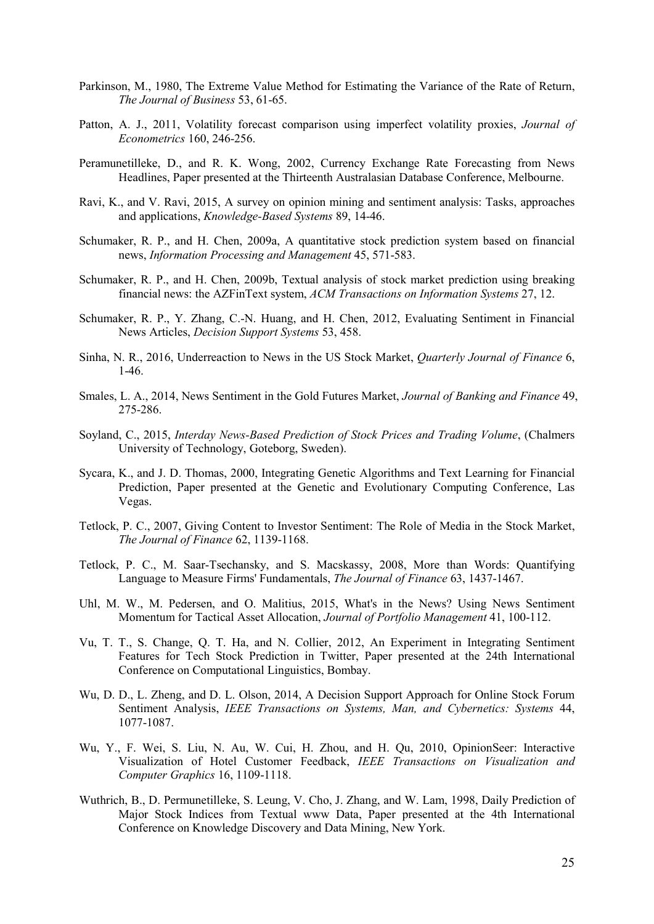- Parkinson, M., 1980, The Extreme Value Method for Estimating the Variance of the Rate of Return, *The Journal of Business* 53, 61-65.
- Patton, A. J., 2011, Volatility forecast comparison using imperfect volatility proxies, *Journal of Econometrics* 160, 246-256.
- Peramunetilleke, D., and R. K. Wong, 2002, Currency Exchange Rate Forecasting from News Headlines, Paper presented at the Thirteenth Australasian Database Conference, Melbourne.
- Ravi, K., and V. Ravi, 2015, A survey on opinion mining and sentiment analysis: Tasks, approaches and applications, *Knowledge-Based Systems* 89, 14-46.
- Schumaker, R. P., and H. Chen, 2009a, A quantitative stock prediction system based on financial news, *Information Processing and Management* 45, 571-583.
- Schumaker, R. P., and H. Chen, 2009b, Textual analysis of stock market prediction using breaking financial news: the AZFinText system, *ACM Transactions on Information Systems* 27, 12.
- Schumaker, R. P., Y. Zhang, C.-N. Huang, and H. Chen, 2012, Evaluating Sentiment in Financial News Articles, *Decision Support Systems* 53, 458.
- Sinha, N. R., 2016, Underreaction to News in the US Stock Market, *Quarterly Journal of Finance* 6, 1-46.
- Smales, L. A., 2014, News Sentiment in the Gold Futures Market, *Journal of Banking and Finance* 49, 275-286.
- Soyland, C., 2015, *Interday News-Based Prediction of Stock Prices and Trading Volume*, (Chalmers University of Technology, Goteborg, Sweden).
- Sycara, K., and J. D. Thomas, 2000, Integrating Genetic Algorithms and Text Learning for Financial Prediction, Paper presented at the Genetic and Evolutionary Computing Conference, Las Vegas.
- Tetlock, P. C., 2007, Giving Content to Investor Sentiment: The Role of Media in the Stock Market, *The Journal of Finance* 62, 1139-1168.
- Tetlock, P. C., M. Saar-Tsechansky, and S. Macskassy, 2008, More than Words: Quantifying Language to Measure Firms' Fundamentals, *The Journal of Finance* 63, 1437-1467.
- Uhl, M. W., M. Pedersen, and O. Malitius, 2015, What's in the News? Using News Sentiment Momentum for Tactical Asset Allocation, *Journal of Portfolio Management* 41, 100-112.
- Vu, T. T., S. Change, Q. T. Ha, and N. Collier, 2012, An Experiment in Integrating Sentiment Features for Tech Stock Prediction in Twitter, Paper presented at the 24th International Conference on Computational Linguistics, Bombay.
- Wu, D. D., L. Zheng, and D. L. Olson, 2014, A Decision Support Approach for Online Stock Forum Sentiment Analysis, *IEEE Transactions on Systems, Man, and Cybernetics: Systems* 44, 1077-1087.
- Wu, Y., F. Wei, S. Liu, N. Au, W. Cui, H. Zhou, and H. Qu, 2010, OpinionSeer: Interactive Visualization of Hotel Customer Feedback, *IEEE Transactions on Visualization and Computer Graphics* 16, 1109-1118.
- Wuthrich, B., D. Permunetilleke, S. Leung, V. Cho, J. Zhang, and W. Lam, 1998, Daily Prediction of Major Stock Indices from Textual www Data, Paper presented at the 4th International Conference on Knowledge Discovery and Data Mining, New York.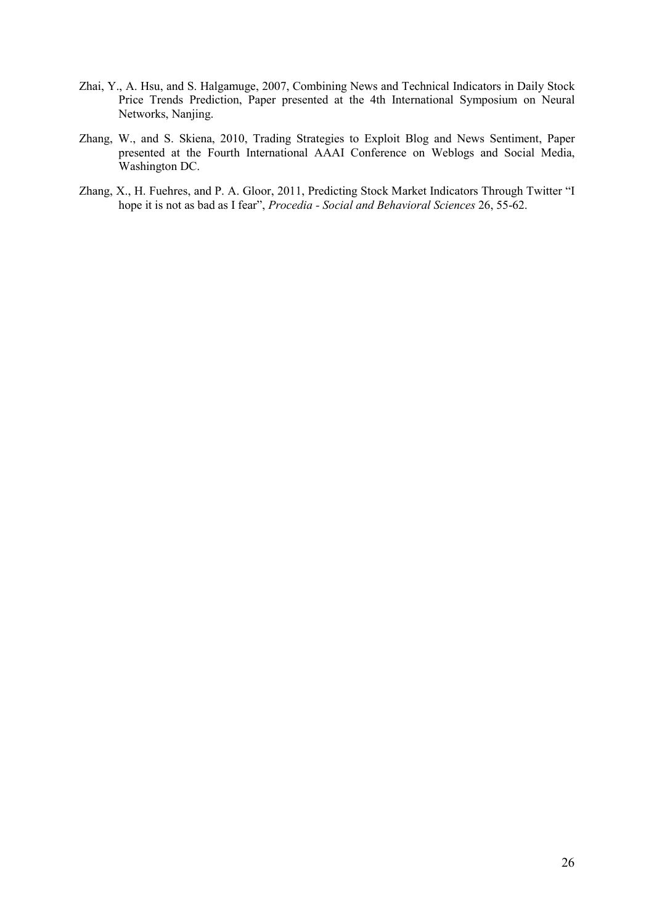- Zhai, Y., A. Hsu, and S. Halgamuge, 2007, Combining News and Technical Indicators in Daily Stock Price Trends Prediction, Paper presented at the 4th International Symposium on Neural Networks, Nanjing.
- Zhang, W., and S. Skiena, 2010, Trading Strategies to Exploit Blog and News Sentiment, Paper presented at the Fourth International AAAI Conference on Weblogs and Social Media, Washington DC.
- Zhang, X., H. Fuehres, and P. A. Gloor, 2011, Predicting Stock Market Indicators Through Twitter "I hope it is not as bad as I fear", *Procedia - Social and Behavioral Sciences* 26, 55-62.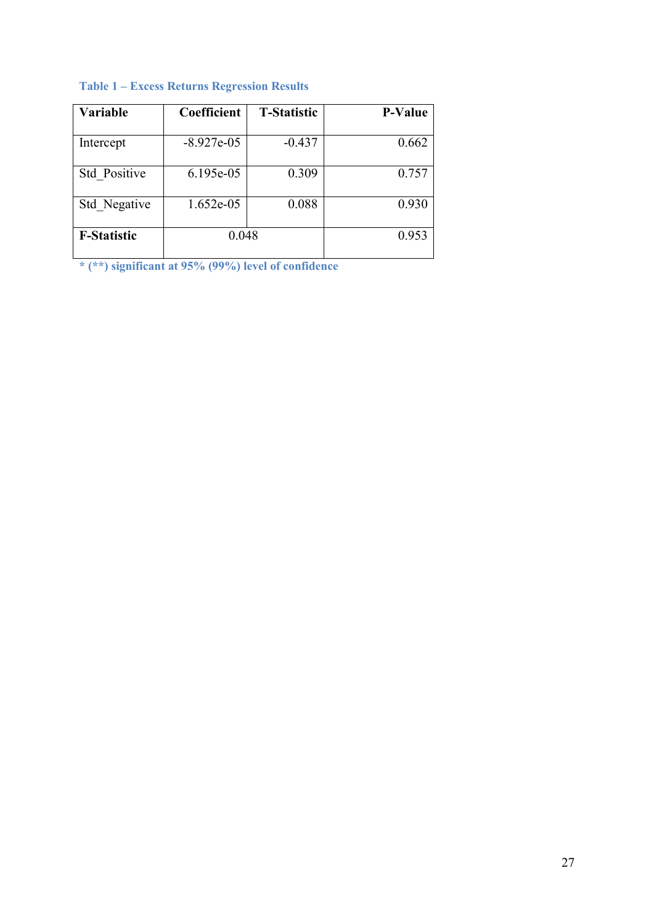| <b>Variable</b>    | Coefficient  | <b>T-Statistic</b> | <b>P-Value</b> |
|--------------------|--------------|--------------------|----------------|
| Intercept          | $-8.927e-05$ | $-0.437$           | 0.662          |
| Std Positive       | 6.195e-05    | 0.309              | 0.757          |
| Std Negative       | $1.652e-05$  | 0.088              | 0.930          |
| <b>F-Statistic</b> | 0.048        |                    | 0.953          |

# **Table 1 – Excess Returns Regression Results**

**\* (\*\*) significant at 95% (99%) level of confidence**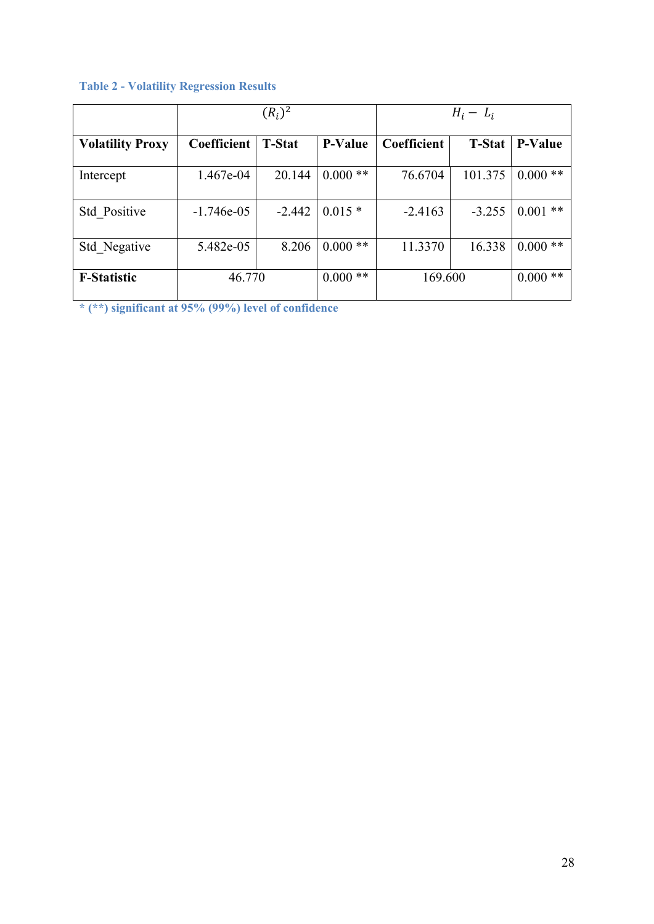|                         |              | $(R_i)^2$     |                | $H_i - L_i$ |               |                |  |
|-------------------------|--------------|---------------|----------------|-------------|---------------|----------------|--|
| <b>Volatility Proxy</b> | Coefficient  | <b>T-Stat</b> | <b>P-Value</b> | Coefficient | <b>T-Stat</b> | <b>P-Value</b> |  |
| Intercept               | 1.467e-04    | 20.144        | $0.000**$      | 76.6704     | 101.375       | $0.000**$      |  |
| <b>Std Positive</b>     | $-1.746e-05$ | $-2.442$      | $0.015*$       | $-2.4163$   | $-3.255$      | $0.001$ **     |  |
| Std Negative            | 5.482e-05    | 8.206         | $0.000**$      | 11.3370     | 16.338        | $0.000**$      |  |
| <b>F-Statistic</b>      | 46.770       |               | **<br>0.000    | 169.600     | $0.000**$     |                |  |

# **Table 2 - Volatility Regression Results**

**\* (\*\*) significant at 95% (99%) level of confidence**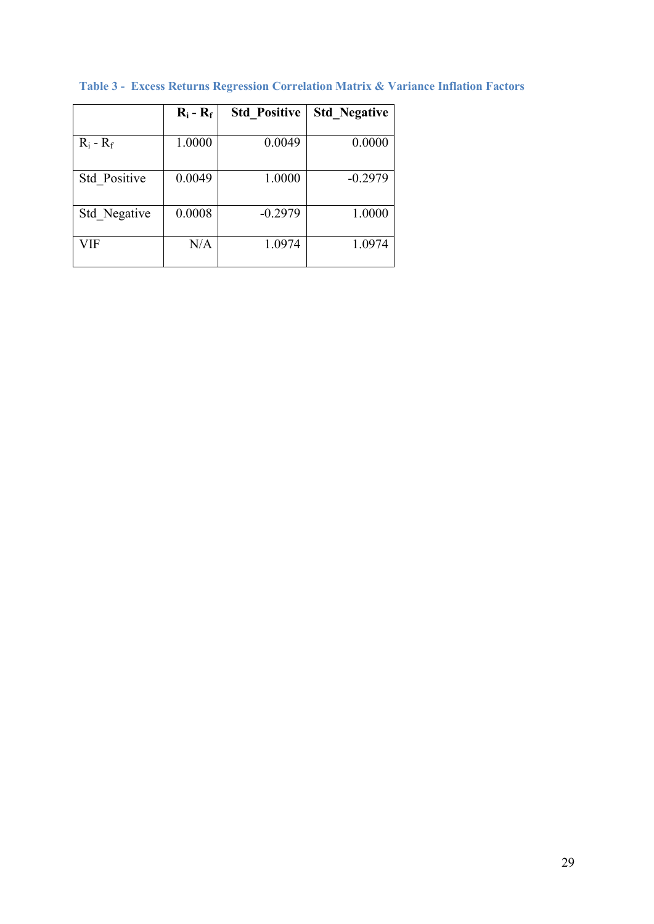|              | $R_i - R_f$ | <b>Std Positive</b> | <b>Std Negative</b> |
|--------------|-------------|---------------------|---------------------|
|              |             |                     |                     |
| $R_i - R_f$  | 1.0000      | 0.0049              | 0.0000              |
| Std Positive | 0.0049      | 1.0000              | $-0.2979$           |
| Std Negative | 0.0008      | $-0.2979$           | 1.0000              |
| VIF          | N/A         | 1.0974              | 1.0974              |

**Table 3 - Excess Returns Regression Correlation Matrix & Variance Inflation Factors**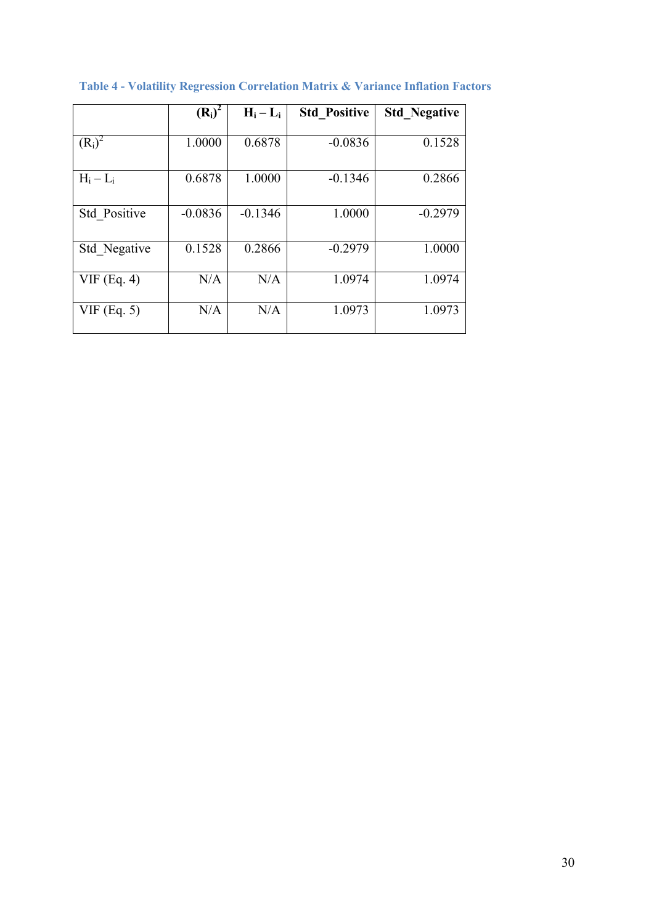|               | $(R_i)^2$ | $H_i - L_i$ | <b>Std Positive</b> | <b>Std Negative</b> |
|---------------|-----------|-------------|---------------------|---------------------|
| $(R_i)^2$     | 1.0000    | 0.6878      | $-0.0836$           | 0.1528              |
| $H_i - L_i$   | 0.6878    | 1.0000      | $-0.1346$           | 0.2866              |
| Std Positive  | $-0.0836$ | $-0.1346$   | 1.0000              | $-0.2979$           |
| Std Negative  | 0.1528    | 0.2866      | $-0.2979$           | 1.0000              |
| $VIF$ (Eq. 4) | N/A       | N/A         | 1.0974              | 1.0974              |
| $VIF$ (Eq. 5) | N/A       | N/A         | 1.0973              | 1.0973              |

**Table 4 - Volatility Regression Correlation Matrix & Variance Inflation Factors**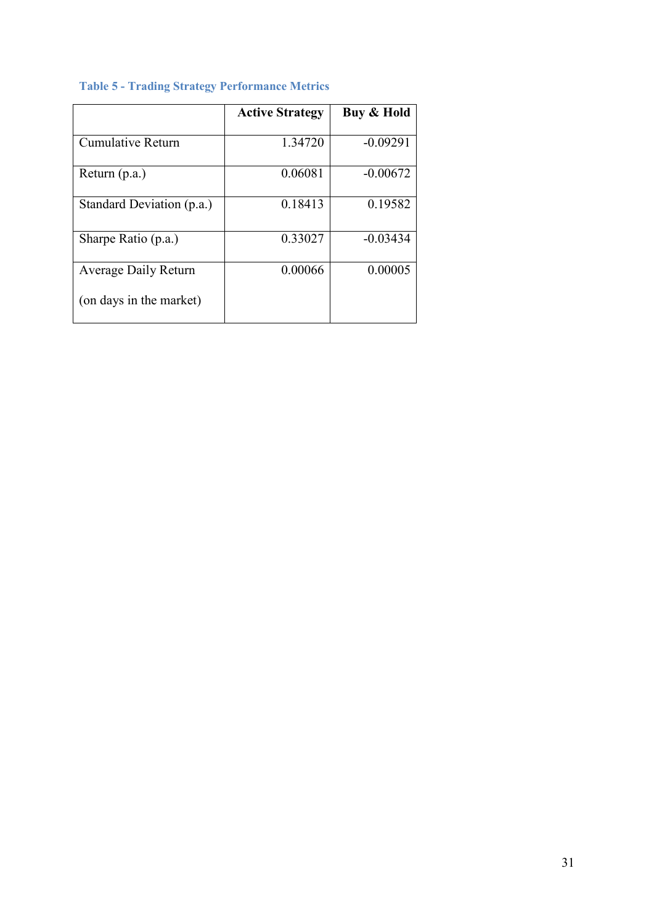|                           | <b>Active Strategy</b> | Buy & Hold |
|---------------------------|------------------------|------------|
| Cumulative Return         | 1.34720                | $-0.09291$ |
| Return (p.a.)             | 0.06081                | $-0.00672$ |
| Standard Deviation (p.a.) | 0.18413                | 0.19582    |
| Sharpe Ratio (p.a.)       | 0.33027                | $-0.03434$ |
| Average Daily Return      | 0.00066                | 0.00005    |
| (on days in the market)   |                        |            |

# **Table 5 - Trading Strategy Performance Metrics**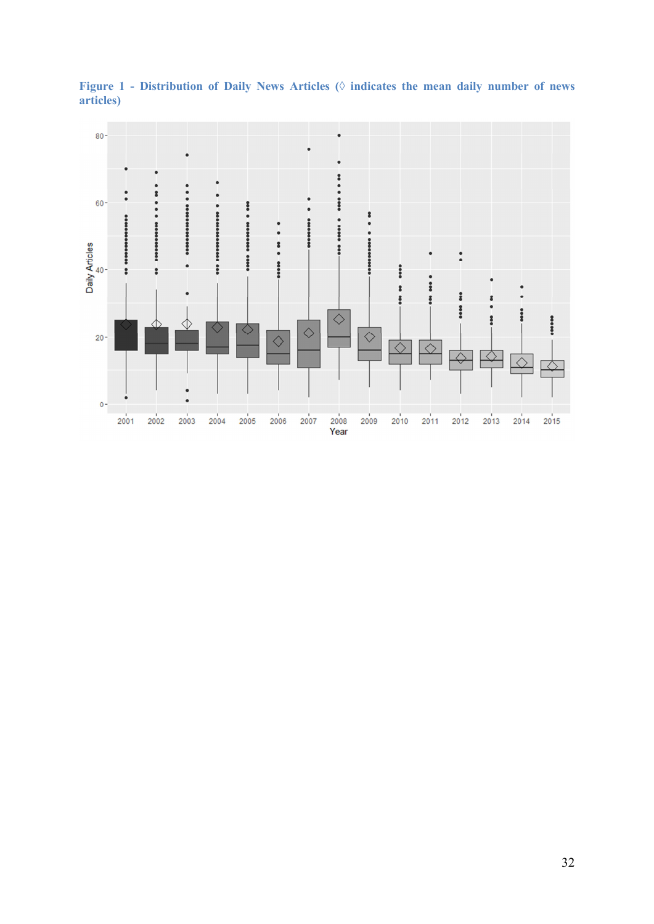

Figure 1 - Distribution of Daily News Articles ( $\Diamond$  indicates the mean daily number of news **articles)**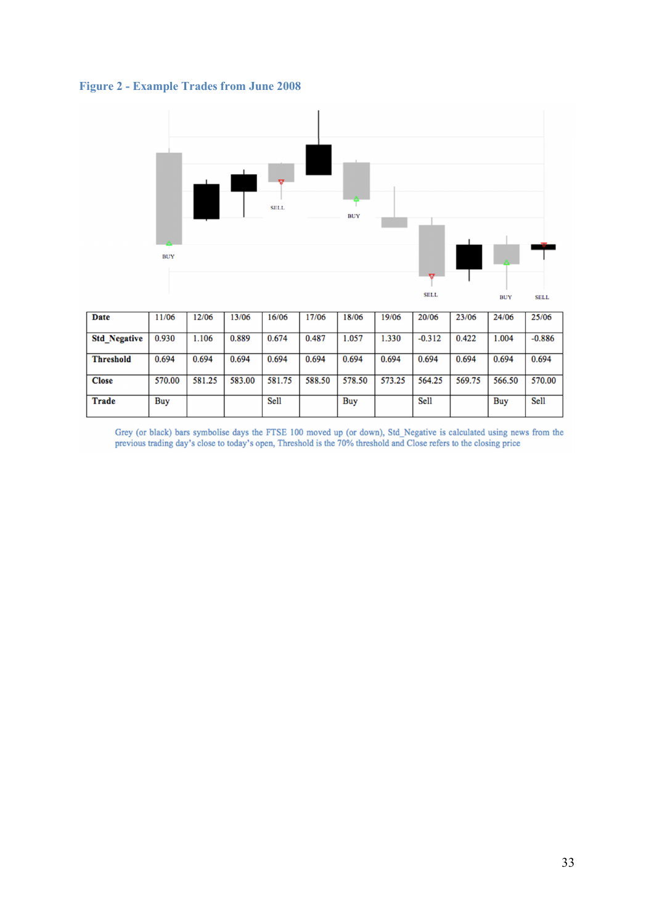



| Date                | 11/06  | 12/06  | 13/06  | 16/06  | 17/06  | 8/06   | 19/06  | 20/06    | 23/06  | 24/06  | 25/06    |
|---------------------|--------|--------|--------|--------|--------|--------|--------|----------|--------|--------|----------|
| <b>Std Negative</b> | 0.930  | 1.106  | 0.889  | 0.674  | 0.487  | .057   | 1.330  | $-0.312$ | 0.422  | 1.004  | $-0.886$ |
| <b>Threshold</b>    | 0.694  | 0.694  | 0.694  | 0.694  | 0.694  | 0.694  | 0.694  | 0.694    | 0.694  | 0.694  | 0.694    |
| <b>Close</b>        | 570.00 | 581.25 | 583.00 | 581.75 | 588.50 | 578.50 | 573.25 | 564.25   | 569.75 | 566.50 | 570.00   |
| Trade               | Buy    |        |        | Sell   |        | Buy    |        | Sell     |        | Buy    | Sell     |

Grey (or black) bars symbolise days the FTSE 100 moved up (or down), Std\_Negative is calculated using news from the previous trading day's close to today's open, Threshold is the 70% threshold and Close refers to the closi